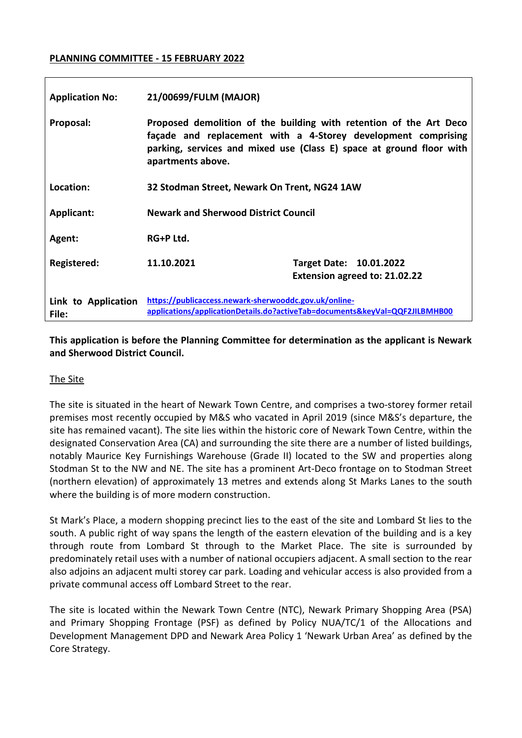#### **PLANNING COMMITTEE - 15 FEBRUARY 2022**

| <b>Application No:</b>       | 21/00699/FULM (MAJOR)                                                                                                                                                                                                            |                                                          |
|------------------------------|----------------------------------------------------------------------------------------------------------------------------------------------------------------------------------------------------------------------------------|----------------------------------------------------------|
| Proposal:                    | Proposed demolition of the building with retention of the Art Deco<br>façade and replacement with a 4-Storey development comprising<br>parking, services and mixed use (Class E) space at ground floor with<br>apartments above. |                                                          |
| Location:                    | 32 Stodman Street, Newark On Trent, NG24 1AW                                                                                                                                                                                     |                                                          |
| <b>Applicant:</b>            | <b>Newark and Sherwood District Council</b>                                                                                                                                                                                      |                                                          |
| Agent:                       | RG+P Ltd.                                                                                                                                                                                                                        |                                                          |
| <b>Registered:</b>           | 11.10.2021                                                                                                                                                                                                                       | Target Date: 10.01.2022<br>Extension agreed to: 21.02.22 |
| Link to Application<br>File: | https://publicaccess.newark-sherwooddc.gov.uk/online-<br>applications/applicationDetails.do?activeTab=documents&keyVal=QQF2JILBMHB00                                                                                             |                                                          |

**This application is before the Planning Committee for determination as the applicant is Newark and Sherwood District Council.**

#### The Site

The site is situated in the heart of Newark Town Centre, and comprises a two-storey former retail premises most recently occupied by M&S who vacated in April 2019 (since M&S's departure, the site has remained vacant). The site lies within the historic core of Newark Town Centre, within the designated Conservation Area (CA) and surrounding the site there are a number of listed buildings, notably Maurice Key Furnishings Warehouse (Grade II) located to the SW and properties along Stodman St to the NW and NE. The site has a prominent Art-Deco frontage on to Stodman Street (northern elevation) of approximately 13 metres and extends along St Marks Lanes to the south where the building is of more modern construction.

St Mark's Place, a modern shopping precinct lies to the east of the site and Lombard St lies to the south. A public right of way spans the length of the eastern elevation of the building and is a key through route from Lombard St through to the Market Place. The site is surrounded by predominately retail uses with a number of national occupiers adjacent. A small section to the rear also adjoins an adjacent multi storey car park. Loading and vehicular access is also provided from a private communal access off Lombard Street to the rear.

The site is located within the Newark Town Centre (NTC), Newark Primary Shopping Area (PSA) and Primary Shopping Frontage (PSF) as defined by Policy NUA/TC/1 of the Allocations and Development Management DPD and Newark Area Policy 1 'Newark Urban Area' as defined by the Core Strategy.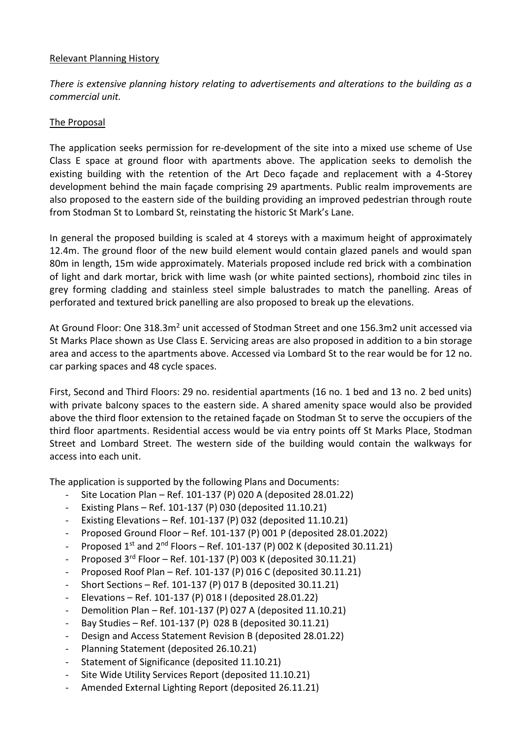#### Relevant Planning History

*There is extensive planning history relating to advertisements and alterations to the building as a commercial unit.* 

### The Proposal

The application seeks permission for re-development of the site into a mixed use scheme of Use Class E space at ground floor with apartments above. The application seeks to demolish the existing building with the retention of the Art Deco façade and replacement with a 4-Storey development behind the main façade comprising 29 apartments. Public realm improvements are also proposed to the eastern side of the building providing an improved pedestrian through route from Stodman St to Lombard St, reinstating the historic St Mark's Lane.

In general the proposed building is scaled at 4 storeys with a maximum height of approximately 12.4m. The ground floor of the new build element would contain glazed panels and would span 80m in length, 15m wide approximately. Materials proposed include red brick with a combination of light and dark mortar, brick with lime wash (or white painted sections), rhomboid zinc tiles in grey forming cladding and stainless steel simple balustrades to match the panelling. Areas of perforated and textured brick panelling are also proposed to break up the elevations.

At Ground Floor: One 318.3m<sup>2</sup> unit accessed of Stodman Street and one 156.3m2 unit accessed via St Marks Place shown as Use Class E. Servicing areas are also proposed in addition to a bin storage area and access to the apartments above. Accessed via Lombard St to the rear would be for 12 no. car parking spaces and 48 cycle spaces.

First, Second and Third Floors: 29 no. residential apartments (16 no. 1 bed and 13 no. 2 bed units) with private balcony spaces to the eastern side. A shared amenity space would also be provided above the third floor extension to the retained façade on Stodman St to serve the occupiers of the third floor apartments. Residential access would be via entry points off St Marks Place, Stodman Street and Lombard Street. The western side of the building would contain the walkways for access into each unit.

The application is supported by the following Plans and Documents:

- Site Location Plan Ref. 101-137 (P) 020 A (deposited  $28.01.22$ )
- Existing Plans Ref. 101-137 (P) 030 (deposited 11.10.21)
- Existing Elevations Ref. 101-137 (P) 032 (deposited 11.10.21)
- Proposed Ground Floor Ref. 101-137 (P) 001 P (deposited 28.01.2022)
- Proposed  $1^{st}$  and  $2^{nd}$  Floors Ref. 101-137 (P) 002 K (deposited 30.11.21)
- Proposed  $3^{rd}$  Floor Ref. 101-137 (P) 003 K (deposited 30.11.21)
- Proposed Roof Plan Ref. 101-137 (P) 016 C (deposited  $30.11.21$ )
- Short Sections Ref. 101-137 (P) 017 B (deposited 30.11.21)
- Elevations Ref. 101-137 (P) 018 I (deposited 28.01.22)
- Demolition Plan Ref. 101-137 (P) 027 A (deposited 11.10.21)
- Bay Studies Ref. 101-137 (P) 028 B (deposited 30.11.21)
- Design and Access Statement Revision B (deposited 28.01.22)
- Planning Statement (deposited 26.10.21)
- Statement of Significance (deposited 11.10.21)
- Site Wide Utility Services Report (deposited 11.10.21)
- Amended External Lighting Report (deposited 26.11.21)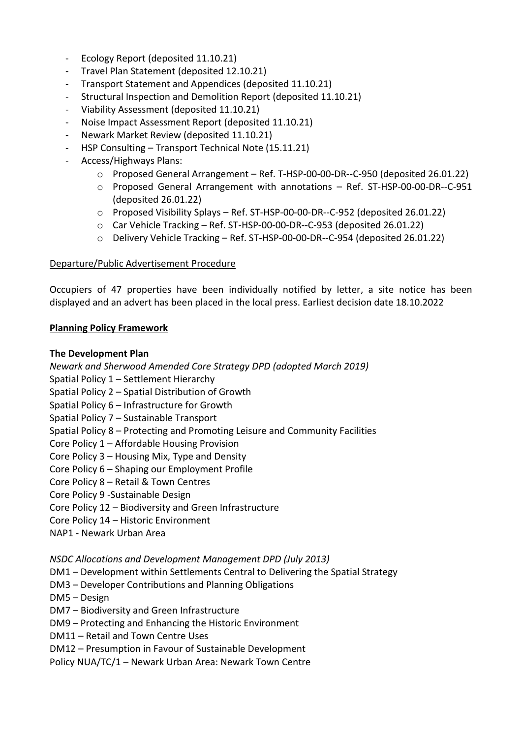- Ecology Report (deposited 11.10.21)
- Travel Plan Statement (deposited 12.10.21)
- Transport Statement and Appendices (deposited 11.10.21)
- Structural Inspection and Demolition Report (deposited 11.10.21)
- Viability Assessment (deposited 11.10.21)
- Noise Impact Assessment Report (deposited 11.10.21)
- Newark Market Review (deposited 11.10.21)
- HSP Consulting Transport Technical Note (15.11.21)
- Access/Highways Plans:
	- o Proposed General Arrangement Ref. T-HSP-00-00-DR--C-950 (deposited 26.01.22)
	- o Proposed General Arrangement with annotations Ref. ST-HSP-00-00-DR--C-951 (deposited 26.01.22)
	- o Proposed Visibility Splays Ref. ST-HSP-00-00-DR--C-952 (deposited 26.01.22)
	- o Car Vehicle Tracking Ref. ST-HSP-00-00-DR--C-953 (deposited 26.01.22)
	- o Delivery Vehicle Tracking Ref. ST-HSP-00-00-DR--C-954 (deposited 26.01.22)

### Departure/Public Advertisement Procedure

Occupiers of 47 properties have been individually notified by letter, a site notice has been displayed and an advert has been placed in the local press. Earliest decision date 18.10.2022

### **Planning Policy Framework**

### **The Development Plan**

*Newark and Sherwood Amended Core Strategy DPD (adopted March 2019)*

- Spatial Policy 1 Settlement Hierarchy
- Spatial Policy 2 Spatial Distribution of Growth
- Spatial Policy 6 Infrastructure for Growth
- Spatial Policy 7 Sustainable Transport
- Spatial Policy 8 Protecting and Promoting Leisure and Community Facilities
- Core Policy 1 Affordable Housing Provision
- Core Policy 3 Housing Mix, Type and Density
- Core Policy 6 Shaping our Employment Profile
- Core Policy 8 Retail & Town Centres
- Core Policy 9 -Sustainable Design
- Core Policy 12 Biodiversity and Green Infrastructure
- Core Policy 14 Historic Environment
- NAP1 Newark Urban Area

*NSDC Allocations and Development Management DPD (July 2013)* 

- DM1 Development within Settlements Central to Delivering the Spatial Strategy
- DM3 Developer Contributions and Planning Obligations
- DM5 Design
- DM7 Biodiversity and Green Infrastructure
- DM9 Protecting and Enhancing the Historic Environment
- DM11 Retail and Town Centre Uses
- DM12 Presumption in Favour of Sustainable Development

Policy NUA/TC/1 – Newark Urban Area: Newark Town Centre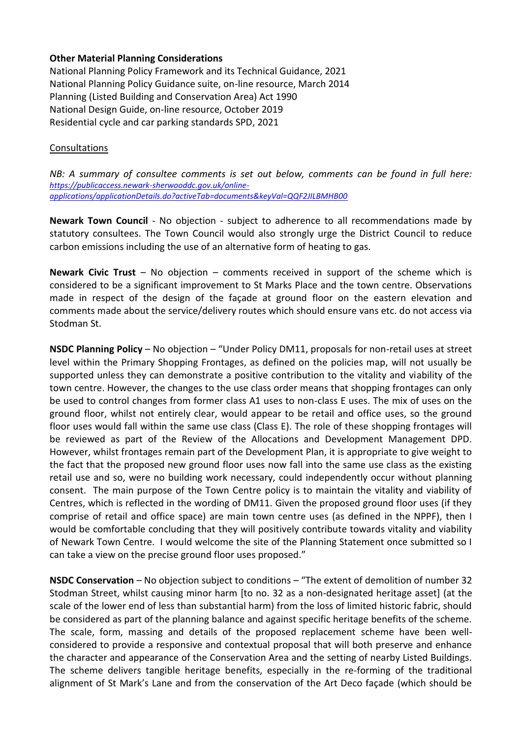#### **Other Material Planning Considerations**

National Planning Policy Framework and its Technical Guidance, 2021 National Planning Policy Guidance suite, on-line resource, March 2014 Planning (Listed Building and Conservation Area) Act 1990 National Design Guide, on-line resource, October 2019 Residential cycle and car parking standards SPD, 2021

#### **Consultations**

*NB: A summary of consultee comments is set out below, comments can be found in full here: [https://publicaccess.newark-sherwooddc.gov.uk/online](https://publicaccess.newark-sherwooddc.gov.uk/online-applications/applicationDetails.do?activeTab=documents&keyVal=QQF2JILBMHB00)[applications/applicationDetails.do?activeTab=documents&keyVal=QQF2JILBMHB00](https://publicaccess.newark-sherwooddc.gov.uk/online-applications/applicationDetails.do?activeTab=documents&keyVal=QQF2JILBMHB00)*

**Newark Town Council** - No objection - subject to adherence to all recommendations made by statutory consultees. The Town Council would also strongly urge the District Council to reduce carbon emissions including the use of an alternative form of heating to gas.

**Newark Civic Trust** – No objection – comments received in support of the scheme which is considered to be a significant improvement to St Marks Place and the town centre. Observations made in respect of the design of the façade at ground floor on the eastern elevation and comments made about the service/delivery routes which should ensure vans etc. do not access via Stodman St.

**NSDC Planning Policy** – No objection – "Under Policy DM11, proposals for non-retail uses at street level within the Primary Shopping Frontages, as defined on the policies map, will not usually be supported unless they can demonstrate a positive contribution to the vitality and viability of the town centre. However, the changes to the use class order means that shopping frontages can only be used to control changes from former class A1 uses to non-class E uses. The mix of uses on the ground floor, whilst not entirely clear, would appear to be retail and office uses, so the ground floor uses would fall within the same use class (Class E). The role of these shopping frontages will be reviewed as part of the Review of the Allocations and Development Management DPD. However, whilst frontages remain part of the Development Plan, it is appropriate to give weight to the fact that the proposed new ground floor uses now fall into the same use class as the existing retail use and so, were no building work necessary, could independently occur without planning consent. The main purpose of the Town Centre policy is to maintain the vitality and viability of Centres, which is reflected in the wording of DM11. Given the proposed ground floor uses (if they comprise of retail and office space) are main town centre uses (as defined in the NPPF), then I would be comfortable concluding that they will positively contribute towards vitality and viability of Newark Town Centre. I would welcome the site of the Planning Statement once submitted so I can take a view on the precise ground floor uses proposed."

**NSDC Conservation** – No objection subject to conditions – "The extent of demolition of number 32 Stodman Street, whilst causing minor harm [to no. 32 as a non-designated heritage asset] (at the scale of the lower end of less than substantial harm) from the loss of limited historic fabric, should be considered as part of the planning balance and against specific heritage benefits of the scheme. The scale, form, massing and details of the proposed replacement scheme have been wellconsidered to provide a responsive and contextual proposal that will both preserve and enhance the character and appearance of the Conservation Area and the setting of nearby Listed Buildings. The scheme delivers tangible heritage benefits, especially in the re-forming of the traditional alignment of St Mark's Lane and from the conservation of the Art Deco façade (which should be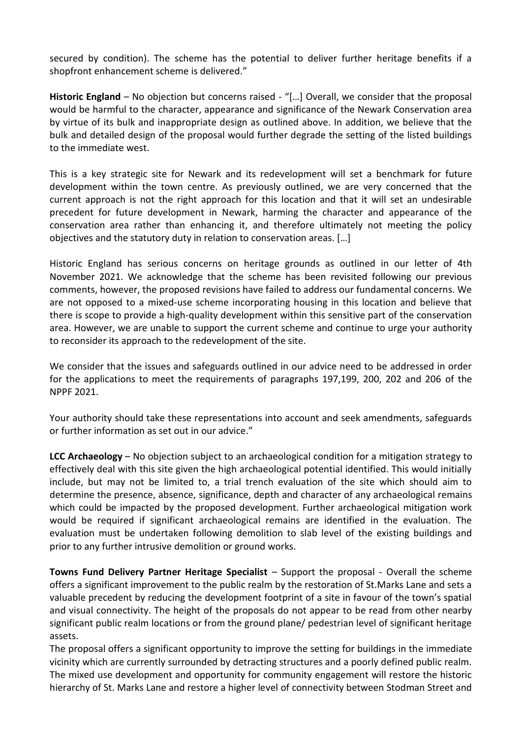secured by condition). The scheme has the potential to deliver further heritage benefits if a shopfront enhancement scheme is delivered."

Historic England – No objection but concerns raised - "[...] Overall, we consider that the proposal would be harmful to the character, appearance and significance of the Newark Conservation area by virtue of its bulk and inappropriate design as outlined above. In addition, we believe that the bulk and detailed design of the proposal would further degrade the setting of the listed buildings to the immediate west.

This is a key strategic site for Newark and its redevelopment will set a benchmark for future development within the town centre. As previously outlined, we are very concerned that the current approach is not the right approach for this location and that it will set an undesirable precedent for future development in Newark, harming the character and appearance of the conservation area rather than enhancing it, and therefore ultimately not meeting the policy objectives and the statutory duty in relation to conservation areas. […]

Historic England has serious concerns on heritage grounds as outlined in our letter of 4th November 2021. We acknowledge that the scheme has been revisited following our previous comments, however, the proposed revisions have failed to address our fundamental concerns. We are not opposed to a mixed-use scheme incorporating housing in this location and believe that there is scope to provide a high-quality development within this sensitive part of the conservation area. However, we are unable to support the current scheme and continue to urge your authority to reconsider its approach to the redevelopment of the site.

We consider that the issues and safeguards outlined in our advice need to be addressed in order for the applications to meet the requirements of paragraphs 197,199, 200, 202 and 206 of the NPPF 2021.

Your authority should take these representations into account and seek amendments, safeguards or further information as set out in our advice."

**LCC Archaeology** – No objection subject to an archaeological condition for a mitigation strategy to effectively deal with this site given the high archaeological potential identified. This would initially include, but may not be limited to, a trial trench evaluation of the site which should aim to determine the presence, absence, significance, depth and character of any archaeological remains which could be impacted by the proposed development. Further archaeological mitigation work would be required if significant archaeological remains are identified in the evaluation. The evaluation must be undertaken following demolition to slab level of the existing buildings and prior to any further intrusive demolition or ground works.

**Towns Fund Delivery Partner Heritage Specialist** – Support the proposal - Overall the scheme offers a significant improvement to the public realm by the restoration of St.Marks Lane and sets a valuable precedent by reducing the development footprint of a site in favour of the town's spatial and visual connectivity. The height of the proposals do not appear to be read from other nearby significant public realm locations or from the ground plane/ pedestrian level of significant heritage assets.

The proposal offers a significant opportunity to improve the setting for buildings in the immediate vicinity which are currently surrounded by detracting structures and a poorly defined public realm. The mixed use development and opportunity for community engagement will restore the historic hierarchy of St. Marks Lane and restore a higher level of connectivity between Stodman Street and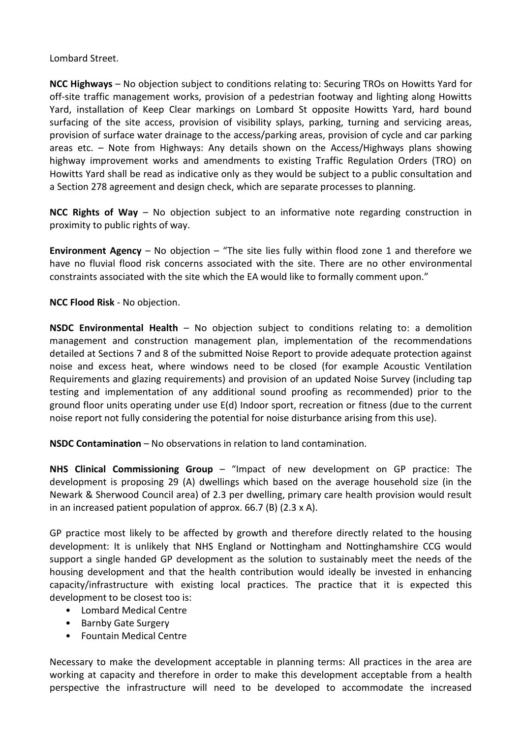Lombard Street.

**NCC Highways** – No objection subject to conditions relating to: Securing TROs on Howitts Yard for off-site traffic management works, provision of a pedestrian footway and lighting along Howitts Yard, installation of Keep Clear markings on Lombard St opposite Howitts Yard, hard bound surfacing of the site access, provision of visibility splays, parking, turning and servicing areas, provision of surface water drainage to the access/parking areas, provision of cycle and car parking areas etc. – Note from Highways: Any details shown on the Access/Highways plans showing highway improvement works and amendments to existing Traffic Regulation Orders (TRO) on Howitts Yard shall be read as indicative only as they would be subject to a public consultation and a Section 278 agreement and design check, which are separate processes to planning.

**NCC Rights of Way** – No objection subject to an informative note regarding construction in proximity to public rights of way.

**Environment Agency** – No objection – "The site lies fully within flood zone 1 and therefore we have no fluvial flood risk concerns associated with the site. There are no other environmental constraints associated with the site which the EA would like to formally comment upon."

**NCC Flood Risk** - No objection.

**NSDC Environmental Health** – No objection subject to conditions relating to: a demolition management and construction management plan, implementation of the recommendations detailed at Sections 7 and 8 of the submitted Noise Report to provide adequate protection against noise and excess heat, where windows need to be closed (for example Acoustic Ventilation Requirements and glazing requirements) and provision of an updated Noise Survey (including tap testing and implementation of any additional sound proofing as recommended) prior to the ground floor units operating under use E(d) Indoor sport, recreation or fitness (due to the current noise report not fully considering the potential for noise disturbance arising from this use).

**NSDC Contamination** – No observations in relation to land contamination.

**NHS Clinical Commissioning Group** – "Impact of new development on GP practice: The development is proposing 29 (A) dwellings which based on the average household size (in the Newark & Sherwood Council area) of 2.3 per dwelling, primary care health provision would result in an increased patient population of approx. 66.7 (B) (2.3 x A).

GP practice most likely to be affected by growth and therefore directly related to the housing development: It is unlikely that NHS England or Nottingham and Nottinghamshire CCG would support a single handed GP development as the solution to sustainably meet the needs of the housing development and that the health contribution would ideally be invested in enhancing capacity/infrastructure with existing local practices. The practice that it is expected this development to be closest too is:

- Lombard Medical Centre
- Barnby Gate Surgery
- Fountain Medical Centre

Necessary to make the development acceptable in planning terms: All practices in the area are working at capacity and therefore in order to make this development acceptable from a health perspective the infrastructure will need to be developed to accommodate the increased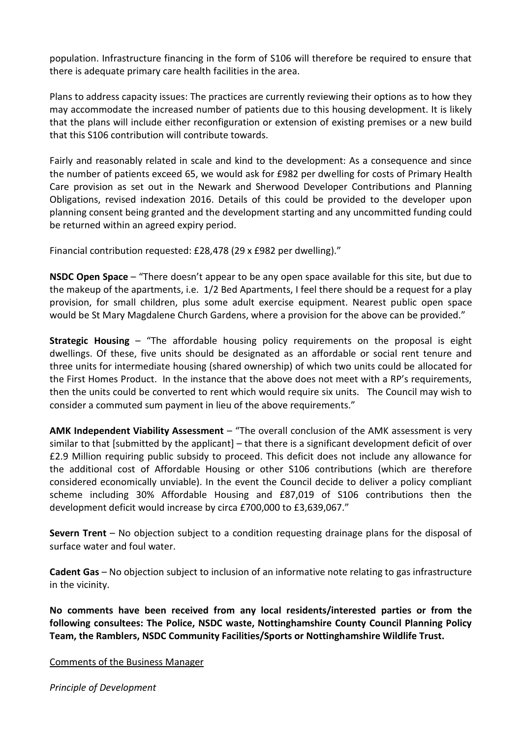population. Infrastructure financing in the form of S106 will therefore be required to ensure that there is adequate primary care health facilities in the area.

Plans to address capacity issues: The practices are currently reviewing their options as to how they may accommodate the increased number of patients due to this housing development. It is likely that the plans will include either reconfiguration or extension of existing premises or a new build that this S106 contribution will contribute towards.

Fairly and reasonably related in scale and kind to the development: As a consequence and since the number of patients exceed 65, we would ask for £982 per dwelling for costs of Primary Health Care provision as set out in the Newark and Sherwood Developer Contributions and Planning Obligations, revised indexation 2016. Details of this could be provided to the developer upon planning consent being granted and the development starting and any uncommitted funding could be returned within an agreed expiry period.

Financial contribution requested: £28,478 (29 x £982 per dwelling)."

**NSDC Open Space** – "There doesn't appear to be any open space available for this site, but due to the makeup of the apartments, i.e. 1/2 Bed Apartments, I feel there should be a request for a play provision, for small children, plus some adult exercise equipment. Nearest public open space would be St Mary Magdalene Church Gardens, where a provision for the above can be provided."

**Strategic Housing** – "The affordable housing policy requirements on the proposal is eight dwellings. Of these, five units should be designated as an affordable or social rent tenure and three units for intermediate housing (shared ownership) of which two units could be allocated for the First Homes Product. In the instance that the above does not meet with a RP's requirements, then the units could be converted to rent which would require six units. The Council may wish to consider a commuted sum payment in lieu of the above requirements."

**AMK Independent Viability Assessment** – "The overall conclusion of the AMK assessment is very similar to that [submitted by the applicant] – that there is a significant development deficit of over £2.9 Million requiring public subsidy to proceed. This deficit does not include any allowance for the additional cost of Affordable Housing or other S106 contributions (which are therefore considered economically unviable). In the event the Council decide to deliver a policy compliant scheme including 30% Affordable Housing and £87,019 of S106 contributions then the development deficit would increase by circa £700,000 to £3,639,067."

**Severn Trent** – No objection subject to a condition requesting drainage plans for the disposal of surface water and foul water.

**Cadent Gas** – No objection subject to inclusion of an informative note relating to gas infrastructure in the vicinity.

**No comments have been received from any local residents/interested parties or from the following consultees: The Police, NSDC waste, Nottinghamshire County Council Planning Policy Team, the Ramblers, NSDC Community Facilities/Sports or Nottinghamshire Wildlife Trust.** 

#### Comments of the Business Manager

*Principle of Development*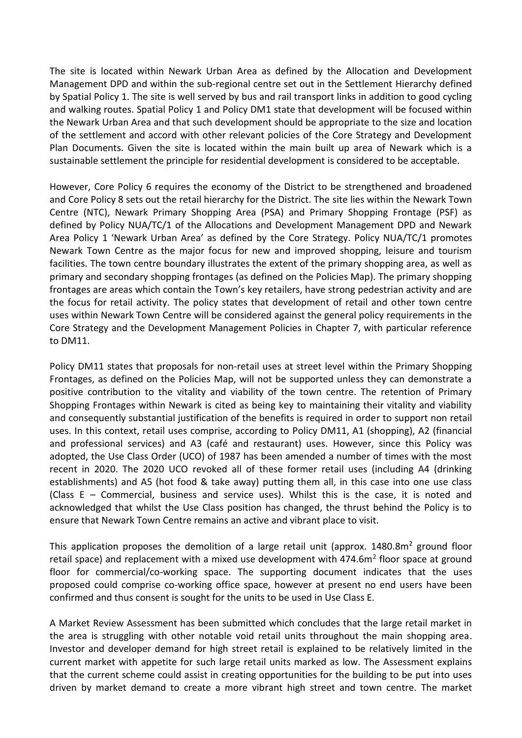The site is located within Newark Urban Area as defined by the Allocation and Development Management DPD and within the sub-regional centre set out in the Settlement Hierarchy defined by Spatial Policy 1. The site is well served by bus and rail transport links in addition to good cycling and walking routes. Spatial Policy 1 and Policy DM1 state that development will be focused within the Newark Urban Area and that such development should be appropriate to the size and location of the settlement and accord with other relevant policies of the Core Strategy and Development Plan Documents. Given the site is located within the main built up area of Newark which is a sustainable settlement the principle for residential development is considered to be acceptable.

However, Core Policy 6 requires the economy of the District to be strengthened and broadened and Core Policy 8 sets out the retail hierarchy for the District. The site lies within the Newark Town Centre (NTC), Newark Primary Shopping Area (PSA) and Primary Shopping Frontage (PSF) as defined by Policy NUA/TC/1 of the Allocations and Development Management DPD and Newark Area Policy 1 'Newark Urban Area' as defined by the Core Strategy. Policy NUA/TC/1 promotes Newark Town Centre as the major focus for new and improved shopping, leisure and tourism facilities. The town centre boundary illustrates the extent of the primary shopping area, as well as primary and secondary shopping frontages (as defined on the Policies Map). The primary shopping frontages are areas which contain the Town's key retailers, have strong pedestrian activity and are the focus for retail activity. The policy states that development of retail and other town centre uses within Newark Town Centre will be considered against the general policy requirements in the Core Strategy and the Development Management Policies in Chapter 7, with particular reference to DM11.

Policy DM11 states that proposals for non-retail uses at street level within the Primary Shopping Frontages, as defined on the Policies Map, will not be supported unless they can demonstrate a positive contribution to the vitality and viability of the town centre. The retention of Primary Shopping Frontages within Newark is cited as being key to maintaining their vitality and viability and consequently substantial justification of the benefits is required in order to support non retail uses. In this context, retail uses comprise, according to Policy DM11, A1 (shopping), A2 (financial and professional services) and A3 (café and restaurant) uses. However, since this Policy was adopted, the Use Class Order (UCO) of 1987 has been amended a number of times with the most recent in 2020. The 2020 UCO revoked all of these former retail uses (including A4 (drinking establishments) and A5 (hot food & take away) putting them all, in this case into one use class (Class E – Commercial, business and service uses). Whilst this is the case, it is noted and acknowledged that whilst the Use Class position has changed, the thrust behind the Policy is to ensure that Newark Town Centre remains an active and vibrant place to visit.

This application proposes the demolition of a large retail unit (approx.  $1480.8m<sup>2</sup>$  ground floor retail space) and replacement with a mixed use development with 474.6m<sup>2</sup> floor space at ground floor for commercial/co-working space. The supporting document indicates that the uses proposed could comprise co-working office space, however at present no end users have been confirmed and thus consent is sought for the units to be used in Use Class E.

A Market Review Assessment has been submitted which concludes that the large retail market in the area is struggling with other notable void retail units throughout the main shopping area. Investor and developer demand for high street retail is explained to be relatively limited in the current market with appetite for such large retail units marked as low. The Assessment explains that the current scheme could assist in creating opportunities for the building to be put into uses driven by market demand to create a more vibrant high street and town centre. The market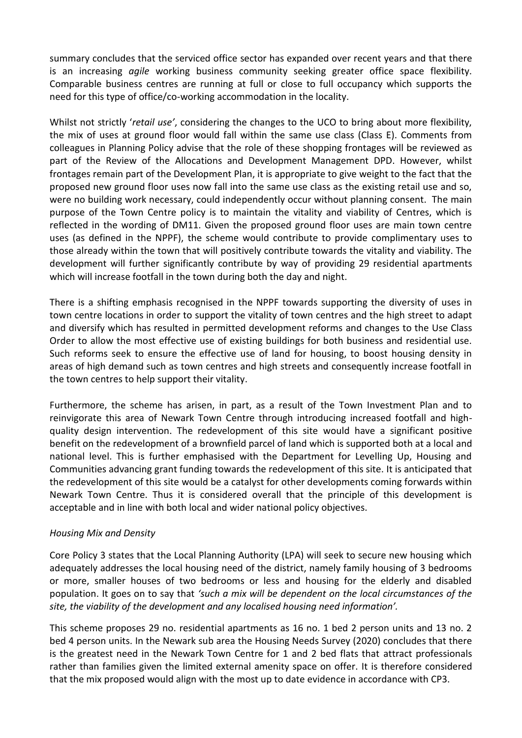summary concludes that the serviced office sector has expanded over recent years and that there is an increasing *agile* working business community seeking greater office space flexibility. Comparable business centres are running at full or close to full occupancy which supports the need for this type of office/co-working accommodation in the locality.

Whilst not strictly '*retail use'*, considering the changes to the UCO to bring about more flexibility, the mix of uses at ground floor would fall within the same use class (Class E). Comments from colleagues in Planning Policy advise that the role of these shopping frontages will be reviewed as part of the Review of the Allocations and Development Management DPD. However, whilst frontages remain part of the Development Plan, it is appropriate to give weight to the fact that the proposed new ground floor uses now fall into the same use class as the existing retail use and so, were no building work necessary, could independently occur without planning consent. The main purpose of the Town Centre policy is to maintain the vitality and viability of Centres, which is reflected in the wording of DM11. Given the proposed ground floor uses are main town centre uses (as defined in the NPPF), the scheme would contribute to provide complimentary uses to those already within the town that will positively contribute towards the vitality and viability. The development will further significantly contribute by way of providing 29 residential apartments which will increase footfall in the town during both the day and night.

There is a shifting emphasis recognised in the NPPF towards supporting the diversity of uses in town centre locations in order to support the vitality of town centres and the high street to adapt and diversify which has resulted in permitted development reforms and changes to the Use Class Order to allow the most effective use of existing buildings for both business and residential use. Such reforms seek to ensure the effective use of land for housing, to boost housing density in areas of high demand such as town centres and high streets and consequently increase footfall in the town centres to help support their vitality.

Furthermore, the scheme has arisen, in part, as a result of the Town Investment Plan and to reinvigorate this area of Newark Town Centre through introducing increased footfall and highquality design intervention. The redevelopment of this site would have a significant positive benefit on the redevelopment of a brownfield parcel of land which is supported both at a local and national level. This is further emphasised with the Department for Levelling Up, Housing and Communities advancing grant funding towards the redevelopment of this site. It is anticipated that the redevelopment of this site would be a catalyst for other developments coming forwards within Newark Town Centre. Thus it is considered overall that the principle of this development is acceptable and in line with both local and wider national policy objectives.

## *Housing Mix and Density*

Core Policy 3 states that the Local Planning Authority (LPA) will seek to secure new housing which adequately addresses the local housing need of the district, namely family housing of 3 bedrooms or more, smaller houses of two bedrooms or less and housing for the elderly and disabled population. It goes on to say that *'such a mix will be dependent on the local circumstances of the site, the viability of the development and any localised housing need information'.*

This scheme proposes 29 no. residential apartments as 16 no. 1 bed 2 person units and 13 no. 2 bed 4 person units. In the Newark sub area the Housing Needs Survey (2020) concludes that there is the greatest need in the Newark Town Centre for 1 and 2 bed flats that attract professionals rather than families given the limited external amenity space on offer. It is therefore considered that the mix proposed would align with the most up to date evidence in accordance with CP3.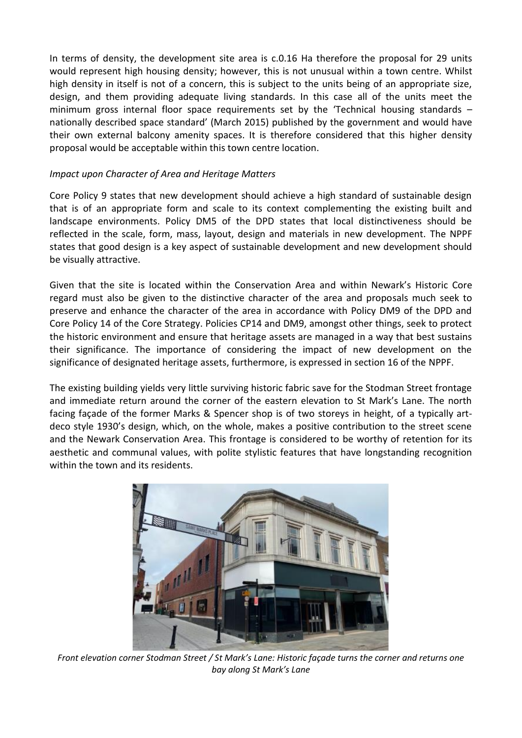In terms of density, the development site area is c.0.16 Ha therefore the proposal for 29 units would represent high housing density; however, this is not unusual within a town centre. Whilst high density in itself is not of a concern, this is subject to the units being of an appropriate size, design, and them providing adequate living standards. In this case all of the units meet the minimum gross internal floor space requirements set by the 'Technical housing standards – nationally described space standard' (March 2015) published by the government and would have their own external balcony amenity spaces. It is therefore considered that this higher density proposal would be acceptable within this town centre location.

### *Impact upon Character of Area and Heritage Matters*

Core Policy 9 states that new development should achieve a high standard of sustainable design that is of an appropriate form and scale to its context complementing the existing built and landscape environments. Policy DM5 of the DPD states that local distinctiveness should be reflected in the scale, form, mass, layout, design and materials in new development. The NPPF states that good design is a key aspect of sustainable development and new development should be visually attractive.

Given that the site is located within the Conservation Area and within Newark's Historic Core regard must also be given to the distinctive character of the area and proposals much seek to preserve and enhance the character of the area in accordance with Policy DM9 of the DPD and Core Policy 14 of the Core Strategy. Policies CP14 and DM9, amongst other things, seek to protect the historic environment and ensure that heritage assets are managed in a way that best sustains their significance. The importance of considering the impact of new development on the significance of designated heritage assets, furthermore, is expressed in section 16 of the NPPF.

The existing building yields very little surviving historic fabric save for the Stodman Street frontage and immediate return around the corner of the eastern elevation to St Mark's Lane. The north facing façade of the former Marks & Spencer shop is of two storeys in height, of a typically artdeco style 1930's design, which, on the whole, makes a positive contribution to the street scene and the Newark Conservation Area. This frontage is considered to be worthy of retention for its aesthetic and communal values, with polite stylistic features that have longstanding recognition within the town and its residents.



*Front elevation corner Stodman Street / St Mark's Lane: Historic façade turns the corner and returns one bay along St Mark's Lane*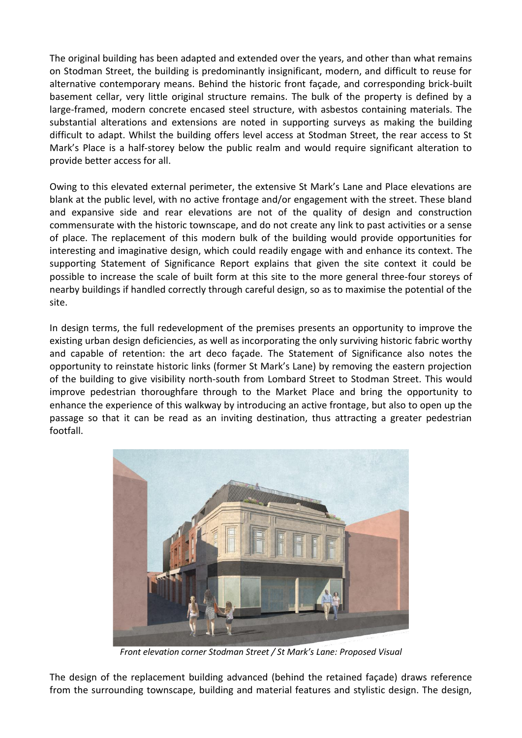The original building has been adapted and extended over the years, and other than what remains on Stodman Street, the building is predominantly insignificant, modern, and difficult to reuse for alternative contemporary means. Behind the historic front façade, and corresponding brick-built basement cellar, very little original structure remains. The bulk of the property is defined by a large-framed, modern concrete encased steel structure, with asbestos containing materials. The substantial alterations and extensions are noted in supporting surveys as making the building difficult to adapt. Whilst the building offers level access at Stodman Street, the rear access to St Mark's Place is a half-storey below the public realm and would require significant alteration to provide better access for all.

Owing to this elevated external perimeter, the extensive St Mark's Lane and Place elevations are blank at the public level, with no active frontage and/or engagement with the street. These bland and expansive side and rear elevations are not of the quality of design and construction commensurate with the historic townscape, and do not create any link to past activities or a sense of place. The replacement of this modern bulk of the building would provide opportunities for interesting and imaginative design, which could readily engage with and enhance its context. The supporting Statement of Significance Report explains that given the site context it could be possible to increase the scale of built form at this site to the more general three-four storeys of nearby buildings if handled correctly through careful design, so as to maximise the potential of the site.

In design terms, the full redevelopment of the premises presents an opportunity to improve the existing urban design deficiencies, as well as incorporating the only surviving historic fabric worthy and capable of retention: the art deco façade. The Statement of Significance also notes the opportunity to reinstate historic links (former St Mark's Lane) by removing the eastern projection of the building to give visibility north-south from Lombard Street to Stodman Street. This would improve pedestrian thoroughfare through to the Market Place and bring the opportunity to enhance the experience of this walkway by introducing an active frontage, but also to open up the passage so that it can be read as an inviting destination, thus attracting a greater pedestrian footfall.



*Front elevation corner Stodman Street / St Mark's Lane: Proposed Visual*

The design of the replacement building advanced (behind the retained façade) draws reference from the surrounding townscape, building and material features and stylistic design. The design,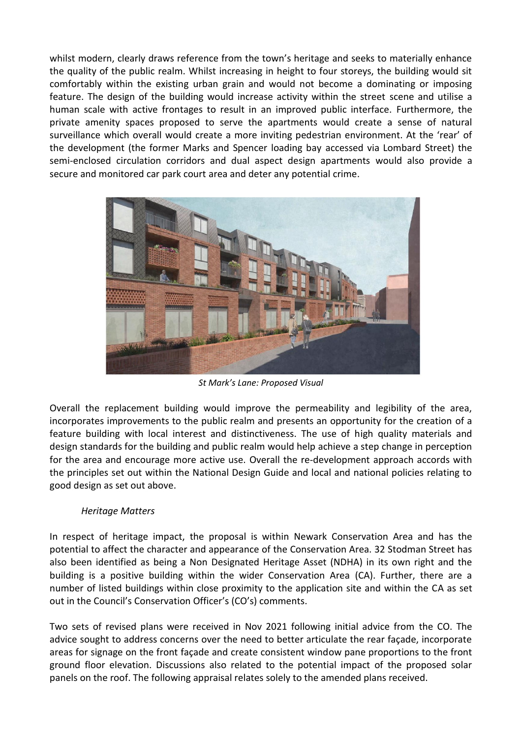whilst modern, clearly draws reference from the town's heritage and seeks to materially enhance the quality of the public realm. Whilst increasing in height to four storeys, the building would sit comfortably within the existing urban grain and would not become a dominating or imposing feature. The design of the building would increase activity within the street scene and utilise a human scale with active frontages to result in an improved public interface. Furthermore, the private amenity spaces proposed to serve the apartments would create a sense of natural surveillance which overall would create a more inviting pedestrian environment. At the 'rear' of the development (the former Marks and Spencer loading bay accessed via Lombard Street) the semi-enclosed circulation corridors and dual aspect design apartments would also provide a secure and monitored car park court area and deter any potential crime.



*St Mark's Lane: Proposed Visual*

Overall the replacement building would improve the permeability and legibility of the area, incorporates improvements to the public realm and presents an opportunity for the creation of a feature building with local interest and distinctiveness. The use of high quality materials and design standards for the building and public realm would help achieve a step change in perception for the area and encourage more active use. Overall the re-development approach accords with the principles set out within the National Design Guide and local and national policies relating to good design as set out above.

#### *Heritage Matters*

In respect of heritage impact, the proposal is within Newark Conservation Area and has the potential to affect the character and appearance of the Conservation Area. 32 Stodman Street has also been identified as being a Non Designated Heritage Asset (NDHA) in its own right and the building is a positive building within the wider Conservation Area (CA). Further, there are a number of listed buildings within close proximity to the application site and within the CA as set out in the Council's Conservation Officer's (CO's) comments.

Two sets of revised plans were received in Nov 2021 following initial advice from the CO. The advice sought to address concerns over the need to better articulate the rear façade, incorporate areas for signage on the front façade and create consistent window pane proportions to the front ground floor elevation. Discussions also related to the potential impact of the proposed solar panels on the roof. The following appraisal relates solely to the amended plans received.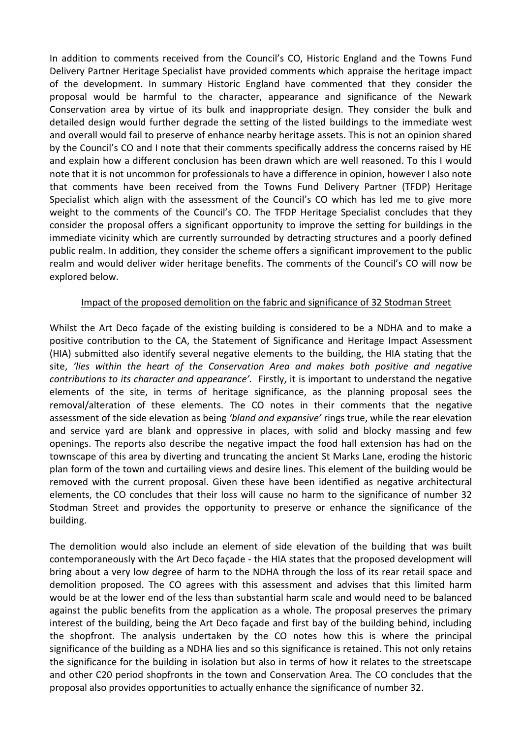In addition to comments received from the Council's CO, Historic England and the Towns Fund Delivery Partner Heritage Specialist have provided comments which appraise the heritage impact of the development. In summary Historic England have commented that they consider the proposal would be harmful to the character, appearance and significance of the Newark Conservation area by virtue of its bulk and inappropriate design. They consider the bulk and detailed design would further degrade the setting of the listed buildings to the immediate west and overall would fail to preserve of enhance nearby heritage assets. This is not an opinion shared by the Council's CO and I note that their comments specifically address the concerns raised by HE and explain how a different conclusion has been drawn which are well reasoned. To this I would note that it is not uncommon for professionals to have a difference in opinion, however I also note that comments have been received from the Towns Fund Delivery Partner (TFDP) Heritage Specialist which align with the assessment of the Council's CO which has led me to give more weight to the comments of the Council's CO. The TFDP Heritage Specialist concludes that they consider the proposal offers a significant opportunity to improve the setting for buildings in the immediate vicinity which are currently surrounded by detracting structures and a poorly defined public realm. In addition, they consider the scheme offers a significant improvement to the public realm and would deliver wider heritage benefits. The comments of the Council's CO will now be explored below.

#### Impact of the proposed demolition on the fabric and significance of 32 Stodman Street

Whilst the Art Deco façade of the existing building is considered to be a NDHA and to make a positive contribution to the CA, the Statement of Significance and Heritage Impact Assessment (HIA) submitted also identify several negative elements to the building, the HIA stating that the site, *'lies within the heart of the Conservation Area and makes both positive and negative contributions to its character and appearance'.* Firstly, it is important to understand the negative elements of the site, in terms of heritage significance, as the planning proposal sees the removal/alteration of these elements. The CO notes in their comments that the negative assessment of the side elevation as being *'bland and expansive'* rings true, while the rear elevation and service yard are blank and oppressive in places, with solid and blocky massing and few openings. The reports also describe the negative impact the food hall extension has had on the townscape of this area by diverting and truncating the ancient St Marks Lane, eroding the historic plan form of the town and curtailing views and desire lines. This element of the building would be removed with the current proposal. Given these have been identified as negative architectural elements, the CO concludes that their loss will cause no harm to the significance of number 32 Stodman Street and provides the opportunity to preserve or enhance the significance of the building.

The demolition would also include an element of side elevation of the building that was built contemporaneously with the Art Deco façade - the HIA states that the proposed development will bring about a very low degree of harm to the NDHA through the loss of its rear retail space and demolition proposed. The CO agrees with this assessment and advises that this limited harm would be at the lower end of the less than substantial harm scale and would need to be balanced against the public benefits from the application as a whole. The proposal preserves the primary interest of the building, being the Art Deco façade and first bay of the building behind, including the shopfront. The analysis undertaken by the CO notes how this is where the principal significance of the building as a NDHA lies and so this significance is retained. This not only retains the significance for the building in isolation but also in terms of how it relates to the streetscape and other C20 period shopfronts in the town and Conservation Area. The CO concludes that the proposal also provides opportunities to actually enhance the significance of number 32.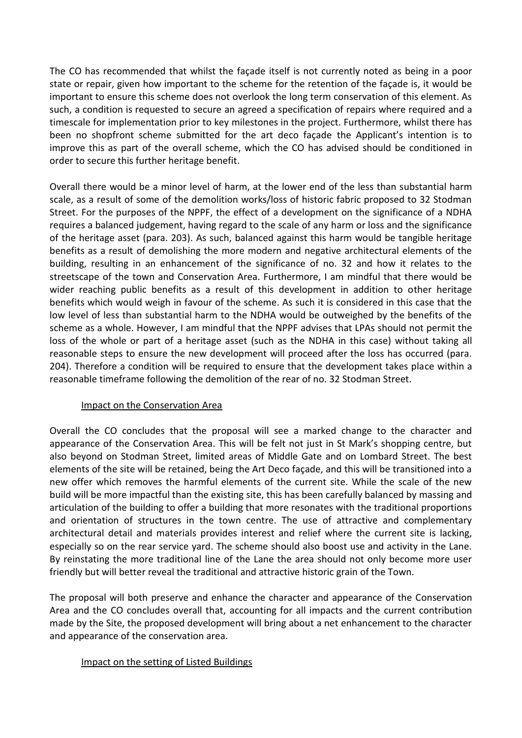The CO has recommended that whilst the façade itself is not currently noted as being in a poor state or repair, given how important to the scheme for the retention of the façade is, it would be important to ensure this scheme does not overlook the long term conservation of this element. As such, a condition is requested to secure an agreed a specification of repairs where required and a timescale for implementation prior to key milestones in the project. Furthermore, whilst there has been no shopfront scheme submitted for the art deco façade the Applicant's intention is to improve this as part of the overall scheme, which the CO has advised should be conditioned in order to secure this further heritage benefit.

Overall there would be a minor level of harm, at the lower end of the less than substantial harm scale, as a result of some of the demolition works/loss of historic fabric proposed to 32 Stodman Street. For the purposes of the NPPF, the effect of a development on the significance of a NDHA requires a balanced judgement, having regard to the scale of any harm or loss and the significance of the heritage asset (para. 203). As such, balanced against this harm would be tangible heritage benefits as a result of demolishing the more modern and negative architectural elements of the building, resulting in an enhancement of the significance of no. 32 and how it relates to the streetscape of the town and Conservation Area. Furthermore, I am mindful that there would be wider reaching public benefits as a result of this development in addition to other heritage benefits which would weigh in favour of the scheme. As such it is considered in this case that the low level of less than substantial harm to the NDHA would be outweighed by the benefits of the scheme as a whole. However, I am mindful that the NPPF advises that LPAs should not permit the loss of the whole or part of a heritage asset (such as the NDHA in this case) without taking all reasonable steps to ensure the new development will proceed after the loss has occurred (para. 204). Therefore a condition will be required to ensure that the development takes place within a reasonable timeframe following the demolition of the rear of no. 32 Stodman Street.

## Impact on the Conservation Area

Overall the CO concludes that the proposal will see a marked change to the character and appearance of the Conservation Area. This will be felt not just in St Mark's shopping centre, but also beyond on Stodman Street, limited areas of Middle Gate and on Lombard Street. The best elements of the site will be retained, being the Art Deco façade, and this will be transitioned into a new offer which removes the harmful elements of the current site. While the scale of the new build will be more impactful than the existing site, this has been carefully balanced by massing and articulation of the building to offer a building that more resonates with the traditional proportions and orientation of structures in the town centre. The use of attractive and complementary architectural detail and materials provides interest and relief where the current site is lacking, especially so on the rear service yard. The scheme should also boost use and activity in the Lane. By reinstating the more traditional line of the Lane the area should not only become more user friendly but will better reveal the traditional and attractive historic grain of the Town.

The proposal will both preserve and enhance the character and appearance of the Conservation Area and the CO concludes overall that, accounting for all impacts and the current contribution made by the Site, the proposed development will bring about a net enhancement to the character and appearance of the conservation area.

#### Impact on the setting of Listed Buildings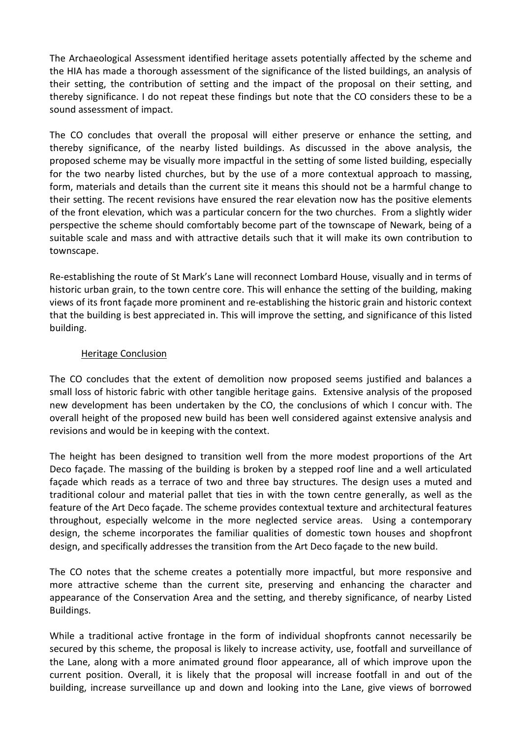The Archaeological Assessment identified heritage assets potentially affected by the scheme and the HIA has made a thorough assessment of the significance of the listed buildings, an analysis of their setting, the contribution of setting and the impact of the proposal on their setting, and thereby significance. I do not repeat these findings but note that the CO considers these to be a sound assessment of impact.

The CO concludes that overall the proposal will either preserve or enhance the setting, and thereby significance, of the nearby listed buildings. As discussed in the above analysis, the proposed scheme may be visually more impactful in the setting of some listed building, especially for the two nearby listed churches, but by the use of a more contextual approach to massing, form, materials and details than the current site it means this should not be a harmful change to their setting. The recent revisions have ensured the rear elevation now has the positive elements of the front elevation, which was a particular concern for the two churches. From a slightly wider perspective the scheme should comfortably become part of the townscape of Newark, being of a suitable scale and mass and with attractive details such that it will make its own contribution to townscape.

Re-establishing the route of St Mark's Lane will reconnect Lombard House, visually and in terms of historic urban grain, to the town centre core. This will enhance the setting of the building, making views of its front façade more prominent and re-establishing the historic grain and historic context that the building is best appreciated in. This will improve the setting, and significance of this listed building.

### Heritage Conclusion

The CO concludes that the extent of demolition now proposed seems justified and balances a small loss of historic fabric with other tangible heritage gains. Extensive analysis of the proposed new development has been undertaken by the CO, the conclusions of which I concur with. The overall height of the proposed new build has been well considered against extensive analysis and revisions and would be in keeping with the context.

The height has been designed to transition well from the more modest proportions of the Art Deco façade. The massing of the building is broken by a stepped roof line and a well articulated façade which reads as a terrace of two and three bay structures. The design uses a muted and traditional colour and material pallet that ties in with the town centre generally, as well as the feature of the Art Deco façade. The scheme provides contextual texture and architectural features throughout, especially welcome in the more neglected service areas. Using a contemporary design, the scheme incorporates the familiar qualities of domestic town houses and shopfront design, and specifically addresses the transition from the Art Deco façade to the new build.

The CO notes that the scheme creates a potentially more impactful, but more responsive and more attractive scheme than the current site, preserving and enhancing the character and appearance of the Conservation Area and the setting, and thereby significance, of nearby Listed Buildings.

While a traditional active frontage in the form of individual shopfronts cannot necessarily be secured by this scheme, the proposal is likely to increase activity, use, footfall and surveillance of the Lane, along with a more animated ground floor appearance, all of which improve upon the current position. Overall, it is likely that the proposal will increase footfall in and out of the building, increase surveillance up and down and looking into the Lane, give views of borrowed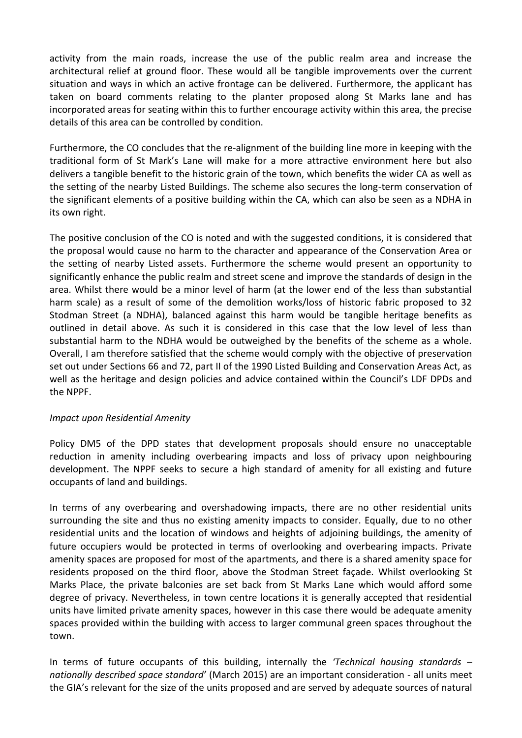activity from the main roads, increase the use of the public realm area and increase the architectural relief at ground floor. These would all be tangible improvements over the current situation and ways in which an active frontage can be delivered. Furthermore, the applicant has taken on board comments relating to the planter proposed along St Marks lane and has incorporated areas for seating within this to further encourage activity within this area, the precise details of this area can be controlled by condition.

Furthermore, the CO concludes that the re-alignment of the building line more in keeping with the traditional form of St Mark's Lane will make for a more attractive environment here but also delivers a tangible benefit to the historic grain of the town, which benefits the wider CA as well as the setting of the nearby Listed Buildings. The scheme also secures the long-term conservation of the significant elements of a positive building within the CA, which can also be seen as a NDHA in its own right.

The positive conclusion of the CO is noted and with the suggested conditions, it is considered that the proposal would cause no harm to the character and appearance of the Conservation Area or the setting of nearby Listed assets. Furthermore the scheme would present an opportunity to significantly enhance the public realm and street scene and improve the standards of design in the area. Whilst there would be a minor level of harm (at the lower end of the less than substantial harm scale) as a result of some of the demolition works/loss of historic fabric proposed to 32 Stodman Street (a NDHA), balanced against this harm would be tangible heritage benefits as outlined in detail above. As such it is considered in this case that the low level of less than substantial harm to the NDHA would be outweighed by the benefits of the scheme as a whole. Overall, I am therefore satisfied that the scheme would comply with the objective of preservation set out under Sections 66 and 72, part II of the 1990 Listed Building and Conservation Areas Act, as well as the heritage and design policies and advice contained within the Council's LDF DPDs and the NPPF.

#### *Impact upon Residential Amenity*

Policy DM5 of the DPD states that development proposals should ensure no unacceptable reduction in amenity including overbearing impacts and loss of privacy upon neighbouring development. The NPPF seeks to secure a high standard of amenity for all existing and future occupants of land and buildings.

In terms of any overbearing and overshadowing impacts, there are no other residential units surrounding the site and thus no existing amenity impacts to consider. Equally, due to no other residential units and the location of windows and heights of adjoining buildings, the amenity of future occupiers would be protected in terms of overlooking and overbearing impacts. Private amenity spaces are proposed for most of the apartments, and there is a shared amenity space for residents proposed on the third floor, above the Stodman Street façade. Whilst overlooking St Marks Place, the private balconies are set back from St Marks Lane which would afford some degree of privacy. Nevertheless, in town centre locations it is generally accepted that residential units have limited private amenity spaces, however in this case there would be adequate amenity spaces provided within the building with access to larger communal green spaces throughout the town.

In terms of future occupants of this building, internally the *'Technical housing standards – nationally described space standard'* (March 2015) are an important consideration - all units meet the GIA's relevant for the size of the units proposed and are served by adequate sources of natural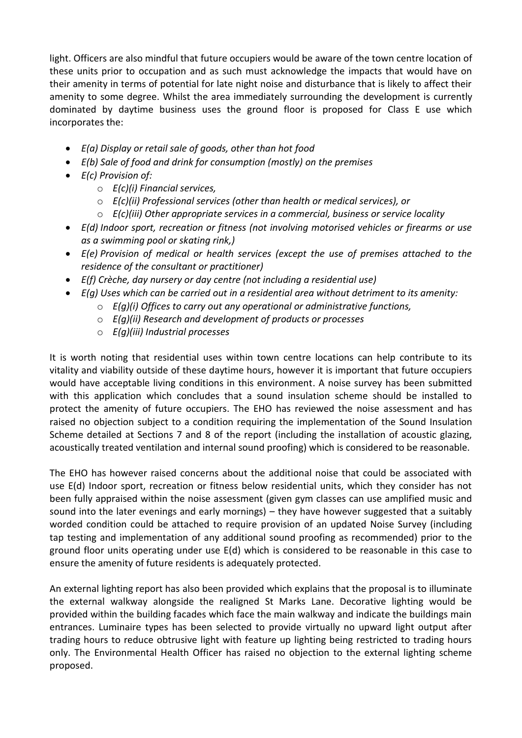light. Officers are also mindful that future occupiers would be aware of the town centre location of these units prior to occupation and as such must acknowledge the impacts that would have on their amenity in terms of potential for late night noise and disturbance that is likely to affect their amenity to some degree. Whilst the area immediately surrounding the development is currently dominated by daytime business uses the ground floor is proposed for Class E use which incorporates the:

- *E(a) Display or retail sale of goods, other than hot food*
- *E(b) Sale of food and drink for consumption (mostly) on the premises*
- *E(c) Provision of:*
	- o *E(c)(i) Financial services,*
	- o *E(c)(ii) Professional services (other than health or medical services), or*
	- o *E(c)(iii) Other appropriate services in a commercial, business or service locality*
- *E(d) Indoor sport, recreation or fitness (not involving motorised vehicles or firearms or use as a swimming pool or skating rink,)*
- *E(e) Provision of medical or health services (except the use of premises attached to the residence of the consultant or practitioner)*
- *E(f) Crèche, day nursery or day centre (not including a residential use)*
- *E(g) Uses which can be carried out in a residential area without detriment to its amenity:*
	- o *E(g)(i) Offices to carry out any operational or administrative functions,*
	- o *E(g)(ii) Research and development of products or processes*
	- o *E(g)(iii) Industrial processes*

It is worth noting that residential uses within town centre locations can help contribute to its vitality and viability outside of these daytime hours, however it is important that future occupiers would have acceptable living conditions in this environment. A noise survey has been submitted with this application which concludes that a sound insulation scheme should be installed to protect the amenity of future occupiers. The EHO has reviewed the noise assessment and has raised no objection subject to a condition requiring the implementation of the Sound Insulation Scheme detailed at Sections 7 and 8 of the report (including the installation of acoustic glazing, acoustically treated ventilation and internal sound proofing) which is considered to be reasonable.

The EHO has however raised concerns about the additional noise that could be associated with use E(d) Indoor sport, recreation or fitness below residential units, which they consider has not been fully appraised within the noise assessment (given gym classes can use amplified music and sound into the later evenings and early mornings) – they have however suggested that a suitably worded condition could be attached to require provision of an updated Noise Survey (including tap testing and implementation of any additional sound proofing as recommended) prior to the ground floor units operating under use E(d) which is considered to be reasonable in this case to ensure the amenity of future residents is adequately protected.

An external lighting report has also been provided which explains that the proposal is to illuminate the external walkway alongside the realigned St Marks Lane. Decorative lighting would be provided within the building facades which face the main walkway and indicate the buildings main entrances. Luminaire types has been selected to provide virtually no upward light output after trading hours to reduce obtrusive light with feature up lighting being restricted to trading hours only. The Environmental Health Officer has raised no objection to the external lighting scheme proposed.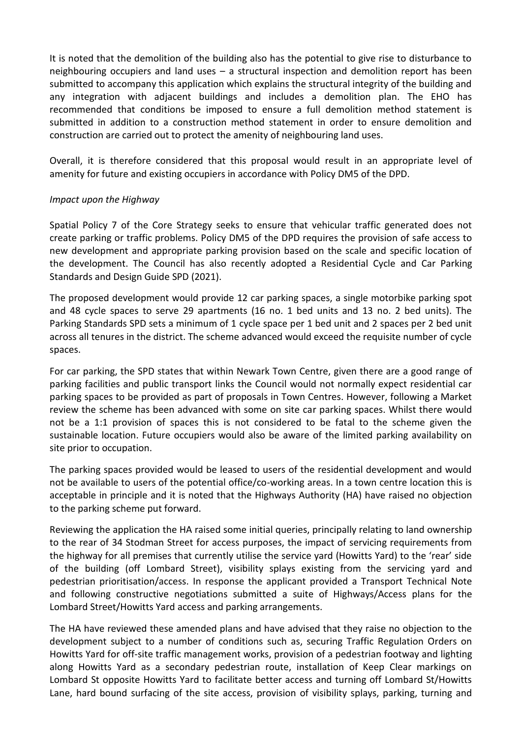It is noted that the demolition of the building also has the potential to give rise to disturbance to neighbouring occupiers and land uses – a structural inspection and demolition report has been submitted to accompany this application which explains the structural integrity of the building and any integration with adjacent buildings and includes a demolition plan. The EHO has recommended that conditions be imposed to ensure a full demolition method statement is submitted in addition to a construction method statement in order to ensure demolition and construction are carried out to protect the amenity of neighbouring land uses.

Overall, it is therefore considered that this proposal would result in an appropriate level of amenity for future and existing occupiers in accordance with Policy DM5 of the DPD.

### *Impact upon the Highway*

Spatial Policy 7 of the Core Strategy seeks to ensure that vehicular traffic generated does not create parking or traffic problems. Policy DM5 of the DPD requires the provision of safe access to new development and appropriate parking provision based on the scale and specific location of the development. The Council has also recently adopted a Residential Cycle and Car Parking Standards and Design Guide SPD (2021).

The proposed development would provide 12 car parking spaces, a single motorbike parking spot and 48 cycle spaces to serve 29 apartments (16 no. 1 bed units and 13 no. 2 bed units). The Parking Standards SPD sets a minimum of 1 cycle space per 1 bed unit and 2 spaces per 2 bed unit across all tenures in the district. The scheme advanced would exceed the requisite number of cycle spaces.

For car parking, the SPD states that within Newark Town Centre, given there are a good range of parking facilities and public transport links the Council would not normally expect residential car parking spaces to be provided as part of proposals in Town Centres. However, following a Market review the scheme has been advanced with some on site car parking spaces. Whilst there would not be a 1:1 provision of spaces this is not considered to be fatal to the scheme given the sustainable location. Future occupiers would also be aware of the limited parking availability on site prior to occupation.

The parking spaces provided would be leased to users of the residential development and would not be available to users of the potential office/co-working areas. In a town centre location this is acceptable in principle and it is noted that the Highways Authority (HA) have raised no objection to the parking scheme put forward.

Reviewing the application the HA raised some initial queries, principally relating to land ownership to the rear of 34 Stodman Street for access purposes, the impact of servicing requirements from the highway for all premises that currently utilise the service yard (Howitts Yard) to the 'rear' side of the building (off Lombard Street), visibility splays existing from the servicing yard and pedestrian prioritisation/access. In response the applicant provided a Transport Technical Note and following constructive negotiations submitted a suite of Highways/Access plans for the Lombard Street/Howitts Yard access and parking arrangements.

The HA have reviewed these amended plans and have advised that they raise no objection to the development subject to a number of conditions such as, securing Traffic Regulation Orders on Howitts Yard for off-site traffic management works, provision of a pedestrian footway and lighting along Howitts Yard as a secondary pedestrian route, installation of Keep Clear markings on Lombard St opposite Howitts Yard to facilitate better access and turning off Lombard St/Howitts Lane, hard bound surfacing of the site access, provision of visibility splays, parking, turning and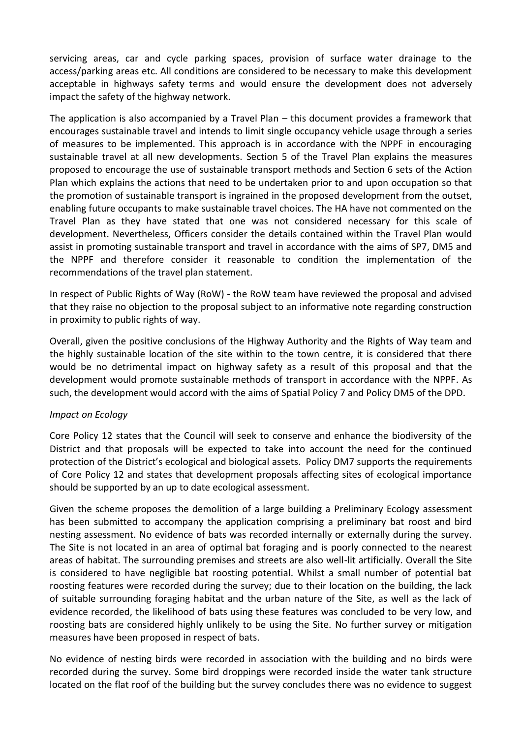servicing areas, car and cycle parking spaces, provision of surface water drainage to the access/parking areas etc. All conditions are considered to be necessary to make this development acceptable in highways safety terms and would ensure the development does not adversely impact the safety of the highway network.

The application is also accompanied by a Travel Plan – this document provides a framework that encourages sustainable travel and intends to limit single occupancy vehicle usage through a series of measures to be implemented. This approach is in accordance with the NPPF in encouraging sustainable travel at all new developments. Section 5 of the Travel Plan explains the measures proposed to encourage the use of sustainable transport methods and Section 6 sets of the Action Plan which explains the actions that need to be undertaken prior to and upon occupation so that the promotion of sustainable transport is ingrained in the proposed development from the outset, enabling future occupants to make sustainable travel choices. The HA have not commented on the Travel Plan as they have stated that one was not considered necessary for this scale of development. Nevertheless, Officers consider the details contained within the Travel Plan would assist in promoting sustainable transport and travel in accordance with the aims of SP7, DM5 and the NPPF and therefore consider it reasonable to condition the implementation of the recommendations of the travel plan statement.

In respect of Public Rights of Way (RoW) - the RoW team have reviewed the proposal and advised that they raise no objection to the proposal subject to an informative note regarding construction in proximity to public rights of way.

Overall, given the positive conclusions of the Highway Authority and the Rights of Way team and the highly sustainable location of the site within to the town centre, it is considered that there would be no detrimental impact on highway safety as a result of this proposal and that the development would promote sustainable methods of transport in accordance with the NPPF. As such, the development would accord with the aims of Spatial Policy 7 and Policy DM5 of the DPD.

#### *Impact on Ecology*

Core Policy 12 states that the Council will seek to conserve and enhance the biodiversity of the District and that proposals will be expected to take into account the need for the continued protection of the District's ecological and biological assets. Policy DM7 supports the requirements of Core Policy 12 and states that development proposals affecting sites of ecological importance should be supported by an up to date ecological assessment.

Given the scheme proposes the demolition of a large building a Preliminary Ecology assessment has been submitted to accompany the application comprising a preliminary bat roost and bird nesting assessment. No evidence of bats was recorded internally or externally during the survey. The Site is not located in an area of optimal bat foraging and is poorly connected to the nearest areas of habitat. The surrounding premises and streets are also well-lit artificially. Overall the Site is considered to have negligible bat roosting potential. Whilst a small number of potential bat roosting features were recorded during the survey; due to their location on the building, the lack of suitable surrounding foraging habitat and the urban nature of the Site, as well as the lack of evidence recorded, the likelihood of bats using these features was concluded to be very low, and roosting bats are considered highly unlikely to be using the Site. No further survey or mitigation measures have been proposed in respect of bats.

No evidence of nesting birds were recorded in association with the building and no birds were recorded during the survey. Some bird droppings were recorded inside the water tank structure located on the flat roof of the building but the survey concludes there was no evidence to suggest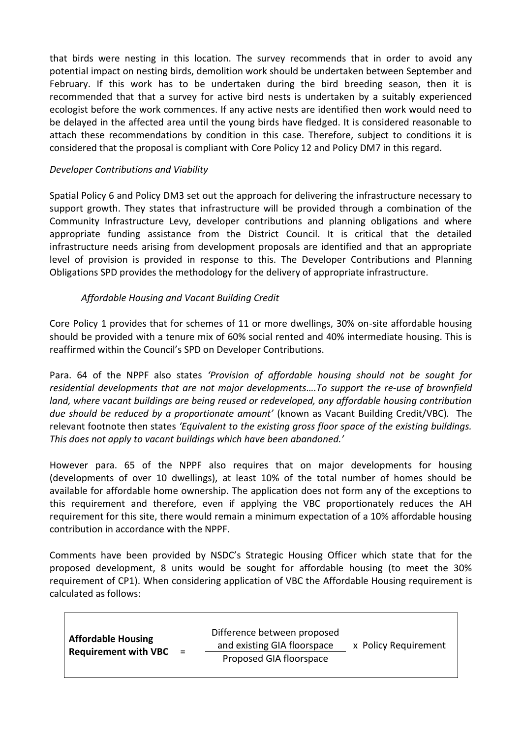that birds were nesting in this location. The survey recommends that in order to avoid any potential impact on nesting birds, demolition work should be undertaken between September and February. If this work has to be undertaken during the bird breeding season, then it is recommended that that a survey for active bird nests is undertaken by a suitably experienced ecologist before the work commences. If any active nests are identified then work would need to be delayed in the affected area until the young birds have fledged. It is considered reasonable to attach these recommendations by condition in this case. Therefore, subject to conditions it is considered that the proposal is compliant with Core Policy 12 and Policy DM7 in this regard.

### *Developer Contributions and Viability*

Spatial Policy 6 and Policy DM3 set out the approach for delivering the infrastructure necessary to support growth. They states that infrastructure will be provided through a combination of the Community Infrastructure Levy, developer contributions and planning obligations and where appropriate funding assistance from the District Council. It is critical that the detailed infrastructure needs arising from development proposals are identified and that an appropriate level of provision is provided in response to this. The Developer Contributions and Planning Obligations SPD provides the methodology for the delivery of appropriate infrastructure.

## *Affordable Housing and Vacant Building Credit*

Core Policy 1 provides that for schemes of 11 or more dwellings, 30% on-site affordable housing should be provided with a tenure mix of 60% social rented and 40% intermediate housing. This is reaffirmed within the Council's SPD on Developer Contributions.

Para. 64 of the NPPF also states *'Provision of affordable housing should not be sought for residential developments that are not major developments….To support the re-use of brownfield land, where vacant buildings are being reused or redeveloped, any affordable housing contribution due should be reduced by a proportionate amount'* (known as Vacant Building Credit/VBC)*.* The relevant footnote then states *'Equivalent to the existing gross floor space of the existing buildings. This does not apply to vacant buildings which have been abandoned.'*

However para. 65 of the NPPF also requires that on major developments for housing (developments of over 10 dwellings), at least 10% of the total number of homes should be available for affordable home ownership. The application does not form any of the exceptions to this requirement and therefore, even if applying the VBC proportionately reduces the AH requirement for this site, there would remain a minimum expectation of a 10% affordable housing contribution in accordance with the NPPF.

Comments have been provided by NSDC's Strategic Housing Officer which state that for the proposed development, 8 units would be sought for affordable housing (to meet the 30% requirement of CP1). When considering application of VBC the Affordable Housing requirement is calculated as follows:

| <b>Affordable Housing</b><br><b>Requirement with VBC</b><br>$\equiv$ | Difference between proposed<br>and existing GIA floorspace<br>Proposed GIA floorspace | x Policy Requirement |
|----------------------------------------------------------------------|---------------------------------------------------------------------------------------|----------------------|
|----------------------------------------------------------------------|---------------------------------------------------------------------------------------|----------------------|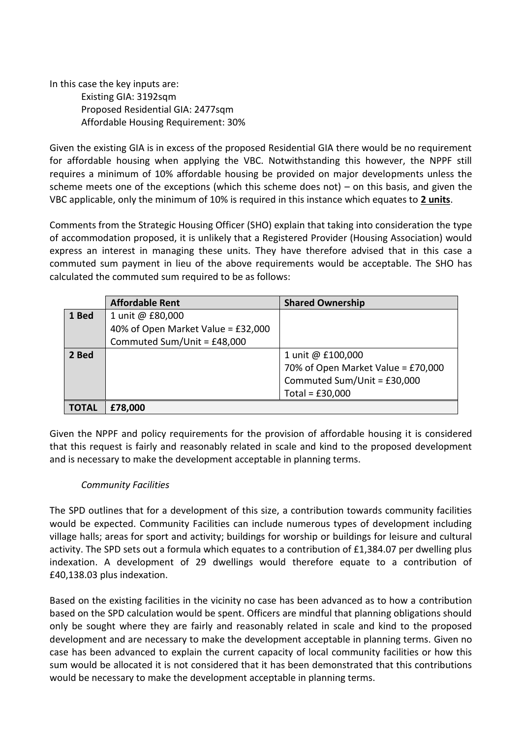In this case the key inputs are: Existing GIA: 3192sqm Proposed Residential GIA: 2477sqm Affordable Housing Requirement: 30%

Given the existing GIA is in excess of the proposed Residential GIA there would be no requirement for affordable housing when applying the VBC. Notwithstanding this however, the NPPF still requires a minimum of 10% affordable housing be provided on major developments unless the scheme meets one of the exceptions (which this scheme does not) – on this basis, and given the VBC applicable, only the minimum of 10% is required in this instance which equates to **2 units**.

Comments from the Strategic Housing Officer (SHO) explain that taking into consideration the type of accommodation proposed, it is unlikely that a Registered Provider (Housing Association) would express an interest in managing these units. They have therefore advised that in this case a commuted sum payment in lieu of the above requirements would be acceptable. The SHO has calculated the commuted sum required to be as follows:

|       | <b>Affordable Rent</b>             | <b>Shared Ownership</b>            |
|-------|------------------------------------|------------------------------------|
| 1 Bed | 1 unit @ £80,000                   |                                    |
|       | 40% of Open Market Value = £32,000 |                                    |
|       | Commuted Sum/Unit = £48,000        |                                    |
| 2 Bed |                                    | 1 unit @ £100,000                  |
|       |                                    | 70% of Open Market Value = £70,000 |
|       |                                    | Commuted Sum/Unit = £30,000        |
|       |                                    | Total = $£30,000$                  |
| TOTAL | £78,000                            |                                    |

Given the NPPF and policy requirements for the provision of affordable housing it is considered that this request is fairly and reasonably related in scale and kind to the proposed development and is necessary to make the development acceptable in planning terms.

## *Community Facilities*

The SPD outlines that for a development of this size, a contribution towards community facilities would be expected. Community Facilities can include numerous types of development including village halls; areas for sport and activity; buildings for worship or buildings for leisure and cultural activity. The SPD sets out a formula which equates to a contribution of £1,384.07 per dwelling plus indexation. A development of 29 dwellings would therefore equate to a contribution of £40,138.03 plus indexation.

Based on the existing facilities in the vicinity no case has been advanced as to how a contribution based on the SPD calculation would be spent. Officers are mindful that planning obligations should only be sought where they are fairly and reasonably related in scale and kind to the proposed development and are necessary to make the development acceptable in planning terms. Given no case has been advanced to explain the current capacity of local community facilities or how this sum would be allocated it is not considered that it has been demonstrated that this contributions would be necessary to make the development acceptable in planning terms.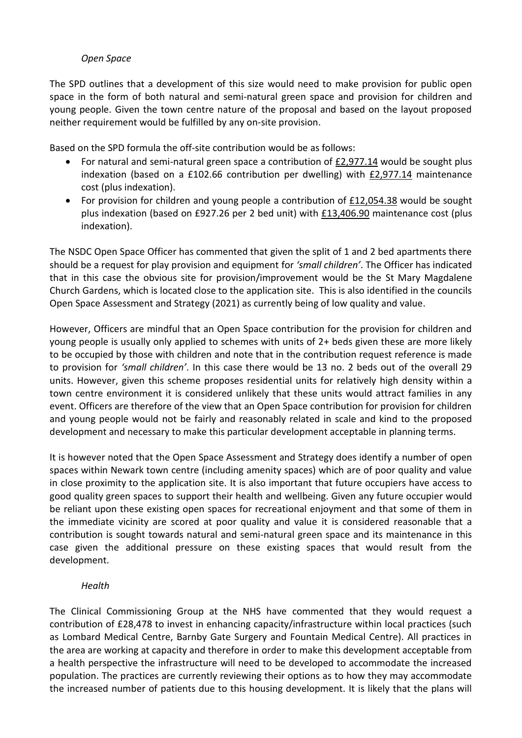### *Open Space*

The SPD outlines that a development of this size would need to make provision for public open space in the form of both natural and semi-natural green space and provision for children and young people. Given the town centre nature of the proposal and based on the layout proposed neither requirement would be fulfilled by any on-site provision.

Based on the SPD formula the off-site contribution would be as follows:

- For natural and semi-natural green space a contribution of £2,977.14 would be sought plus indexation (based on a £102.66 contribution per dwelling) with  $E2,977.14$  maintenance cost (plus indexation).
- For provision for children and young people a contribution of £12,054.38 would be sought plus indexation (based on £927.26 per 2 bed unit) with £13,406.90 maintenance cost (plus indexation).

The NSDC Open Space Officer has commented that given the split of 1 and 2 bed apartments there should be a request for play provision and equipment for *'small children'*. The Officer has indicated that in this case the obvious site for provision/improvement would be the St Mary Magdalene Church Gardens, which is located close to the application site. This is also identified in the councils Open Space Assessment and Strategy (2021) as currently being of low quality and value.

However, Officers are mindful that an Open Space contribution for the provision for children and young people is usually only applied to schemes with units of 2+ beds given these are more likely to be occupied by those with children and note that in the contribution request reference is made to provision for *'small children'*. In this case there would be 13 no. 2 beds out of the overall 29 units. However, given this scheme proposes residential units for relatively high density within a town centre environment it is considered unlikely that these units would attract families in any event. Officers are therefore of the view that an Open Space contribution for provision for children and young people would not be fairly and reasonably related in scale and kind to the proposed development and necessary to make this particular development acceptable in planning terms.

It is however noted that the Open Space Assessment and Strategy does identify a number of open spaces within Newark town centre (including amenity spaces) which are of poor quality and value in close proximity to the application site. It is also important that future occupiers have access to good quality green spaces to support their health and wellbeing. Given any future occupier would be reliant upon these existing open spaces for recreational enjoyment and that some of them in the immediate vicinity are scored at poor quality and value it is considered reasonable that a contribution is sought towards natural and semi-natural green space and its maintenance in this case given the additional pressure on these existing spaces that would result from the development.

#### *Health*

The Clinical Commissioning Group at the NHS have commented that they would request a contribution of £28,478 to invest in enhancing capacity/infrastructure within local practices (such as Lombard Medical Centre, Barnby Gate Surgery and Fountain Medical Centre). All practices in the area are working at capacity and therefore in order to make this development acceptable from a health perspective the infrastructure will need to be developed to accommodate the increased population. The practices are currently reviewing their options as to how they may accommodate the increased number of patients due to this housing development. It is likely that the plans will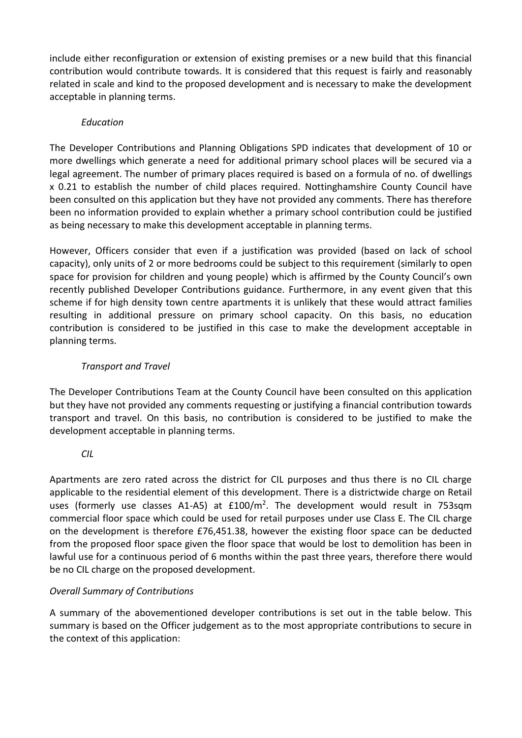include either reconfiguration or extension of existing premises or a new build that this financial contribution would contribute towards. It is considered that this request is fairly and reasonably related in scale and kind to the proposed development and is necessary to make the development acceptable in planning terms.

## *Education*

The Developer Contributions and Planning Obligations SPD indicates that development of 10 or more dwellings which generate a need for additional primary school places will be secured via a legal agreement. The number of primary places required is based on a formula of no. of dwellings x 0.21 to establish the number of child places required. Nottinghamshire County Council have been consulted on this application but they have not provided any comments. There has therefore been no information provided to explain whether a primary school contribution could be justified as being necessary to make this development acceptable in planning terms.

However, Officers consider that even if a justification was provided (based on lack of school capacity), only units of 2 or more bedrooms could be subject to this requirement (similarly to open space for provision for children and young people) which is affirmed by the County Council's own recently published Developer Contributions guidance. Furthermore, in any event given that this scheme if for high density town centre apartments it is unlikely that these would attract families resulting in additional pressure on primary school capacity. On this basis, no education contribution is considered to be justified in this case to make the development acceptable in planning terms.

# *Transport and Travel*

The Developer Contributions Team at the County Council have been consulted on this application but they have not provided any comments requesting or justifying a financial contribution towards transport and travel. On this basis, no contribution is considered to be justified to make the development acceptable in planning terms.

# *CIL*

Apartments are zero rated across the district for CIL purposes and thus there is no CIL charge applicable to the residential element of this development. There is a districtwide charge on Retail uses (formerly use classes A1-A5) at £100/m<sup>2</sup>. The development would result in 753sqm commercial floor space which could be used for retail purposes under use Class E. The CIL charge on the development is therefore £76,451.38, however the existing floor space can be deducted from the proposed floor space given the floor space that would be lost to demolition has been in lawful use for a continuous period of 6 months within the past three years, therefore there would be no CIL charge on the proposed development.

# *Overall Summary of Contributions*

A summary of the abovementioned developer contributions is set out in the table below. This summary is based on the Officer judgement as to the most appropriate contributions to secure in the context of this application: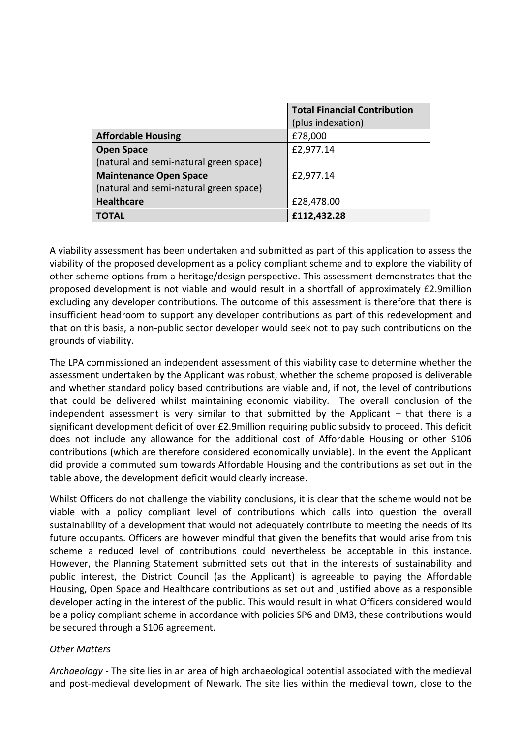|                                        | <b>Total Financial Contribution</b> |
|----------------------------------------|-------------------------------------|
|                                        | (plus indexation)                   |
| <b>Affordable Housing</b>              | £78,000                             |
| <b>Open Space</b>                      | £2,977.14                           |
| (natural and semi-natural green space) |                                     |
| <b>Maintenance Open Space</b>          | £2,977.14                           |
| (natural and semi-natural green space) |                                     |
| <b>Healthcare</b>                      | £28,478.00                          |
| <b>TOTAL</b>                           | £112,432.28                         |

A viability assessment has been undertaken and submitted as part of this application to assess the viability of the proposed development as a policy compliant scheme and to explore the viability of other scheme options from a heritage/design perspective. This assessment demonstrates that the proposed development is not viable and would result in a shortfall of approximately £2.9million excluding any developer contributions. The outcome of this assessment is therefore that there is insufficient headroom to support any developer contributions as part of this redevelopment and that on this basis, a non-public sector developer would seek not to pay such contributions on the grounds of viability.

The LPA commissioned an independent assessment of this viability case to determine whether the assessment undertaken by the Applicant was robust, whether the scheme proposed is deliverable and whether standard policy based contributions are viable and, if not, the level of contributions that could be delivered whilst maintaining economic viability. The overall conclusion of the independent assessment is very similar to that submitted by the Applicant – that there is a significant development deficit of over £2.9million requiring public subsidy to proceed. This deficit does not include any allowance for the additional cost of Affordable Housing or other S106 contributions (which are therefore considered economically unviable). In the event the Applicant did provide a commuted sum towards Affordable Housing and the contributions as set out in the table above, the development deficit would clearly increase.

Whilst Officers do not challenge the viability conclusions, it is clear that the scheme would not be viable with a policy compliant level of contributions which calls into question the overall sustainability of a development that would not adequately contribute to meeting the needs of its future occupants. Officers are however mindful that given the benefits that would arise from this scheme a reduced level of contributions could nevertheless be acceptable in this instance. However, the Planning Statement submitted sets out that in the interests of sustainability and public interest, the District Council (as the Applicant) is agreeable to paying the Affordable Housing, Open Space and Healthcare contributions as set out and justified above as a responsible developer acting in the interest of the public. This would result in what Officers considered would be a policy compliant scheme in accordance with policies SP6 and DM3, these contributions would be secured through a S106 agreement.

#### *Other Matters*

*Archaeology* - The site lies in an area of high archaeological potential associated with the medieval and post-medieval development of Newark. The site lies within the medieval town, close to the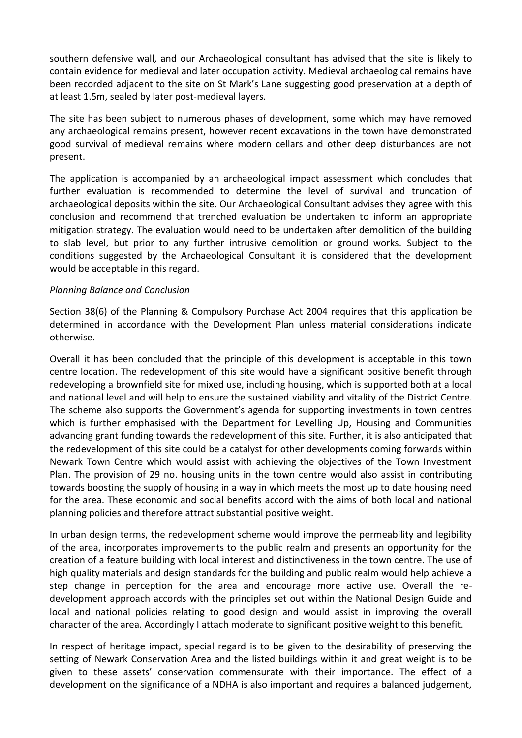southern defensive wall, and our Archaeological consultant has advised that the site is likely to contain evidence for medieval and later occupation activity. Medieval archaeological remains have been recorded adjacent to the site on St Mark's Lane suggesting good preservation at a depth of at least 1.5m, sealed by later post-medieval layers.

The site has been subject to numerous phases of development, some which may have removed any archaeological remains present, however recent excavations in the town have demonstrated good survival of medieval remains where modern cellars and other deep disturbances are not present.

The application is accompanied by an archaeological impact assessment which concludes that further evaluation is recommended to determine the level of survival and truncation of archaeological deposits within the site. Our Archaeological Consultant advises they agree with this conclusion and recommend that trenched evaluation be undertaken to inform an appropriate mitigation strategy. The evaluation would need to be undertaken after demolition of the building to slab level, but prior to any further intrusive demolition or ground works. Subject to the conditions suggested by the Archaeological Consultant it is considered that the development would be acceptable in this regard.

#### *Planning Balance and Conclusion*

Section 38(6) of the Planning & Compulsory Purchase Act 2004 requires that this application be determined in accordance with the Development Plan unless material considerations indicate otherwise.

Overall it has been concluded that the principle of this development is acceptable in this town centre location. The redevelopment of this site would have a significant positive benefit through redeveloping a brownfield site for mixed use, including housing, which is supported both at a local and national level and will help to ensure the sustained viability and vitality of the District Centre. The scheme also supports the Government's agenda for supporting investments in town centres which is further emphasised with the Department for Levelling Up, Housing and Communities advancing grant funding towards the redevelopment of this site. Further, it is also anticipated that the redevelopment of this site could be a catalyst for other developments coming forwards within Newark Town Centre which would assist with achieving the objectives of the Town Investment Plan. The provision of 29 no. housing units in the town centre would also assist in contributing towards boosting the supply of housing in a way in which meets the most up to date housing need for the area. These economic and social benefits accord with the aims of both local and national planning policies and therefore attract substantial positive weight.

In urban design terms, the redevelopment scheme would improve the permeability and legibility of the area, incorporates improvements to the public realm and presents an opportunity for the creation of a feature building with local interest and distinctiveness in the town centre. The use of high quality materials and design standards for the building and public realm would help achieve a step change in perception for the area and encourage more active use. Overall the redevelopment approach accords with the principles set out within the National Design Guide and local and national policies relating to good design and would assist in improving the overall character of the area. Accordingly I attach moderate to significant positive weight to this benefit.

In respect of heritage impact, special regard is to be given to the desirability of preserving the setting of Newark Conservation Area and the listed buildings within it and great weight is to be given to these assets' conservation commensurate with their importance. The effect of a development on the significance of a NDHA is also important and requires a balanced judgement,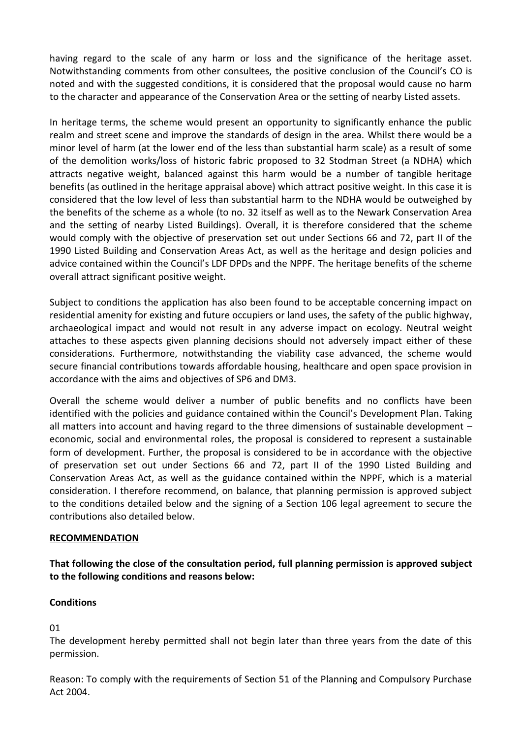having regard to the scale of any harm or loss and the significance of the heritage asset. Notwithstanding comments from other consultees, the positive conclusion of the Council's CO is noted and with the suggested conditions, it is considered that the proposal would cause no harm to the character and appearance of the Conservation Area or the setting of nearby Listed assets.

In heritage terms, the scheme would present an opportunity to significantly enhance the public realm and street scene and improve the standards of design in the area. Whilst there would be a minor level of harm (at the lower end of the less than substantial harm scale) as a result of some of the demolition works/loss of historic fabric proposed to 32 Stodman Street (a NDHA) which attracts negative weight, balanced against this harm would be a number of tangible heritage benefits (as outlined in the heritage appraisal above) which attract positive weight. In this case it is considered that the low level of less than substantial harm to the NDHA would be outweighed by the benefits of the scheme as a whole (to no. 32 itself as well as to the Newark Conservation Area and the setting of nearby Listed Buildings). Overall, it is therefore considered that the scheme would comply with the objective of preservation set out under Sections 66 and 72, part II of the 1990 Listed Building and Conservation Areas Act, as well as the heritage and design policies and advice contained within the Council's LDF DPDs and the NPPF. The heritage benefits of the scheme overall attract significant positive weight.

Subject to conditions the application has also been found to be acceptable concerning impact on residential amenity for existing and future occupiers or land uses, the safety of the public highway, archaeological impact and would not result in any adverse impact on ecology. Neutral weight attaches to these aspects given planning decisions should not adversely impact either of these considerations. Furthermore, notwithstanding the viability case advanced, the scheme would secure financial contributions towards affordable housing, healthcare and open space provision in accordance with the aims and objectives of SP6 and DM3.

Overall the scheme would deliver a number of public benefits and no conflicts have been identified with the policies and guidance contained within the Council's Development Plan. Taking all matters into account and having regard to the three dimensions of sustainable development economic, social and environmental roles, the proposal is considered to represent a sustainable form of development. Further, the proposal is considered to be in accordance with the objective of preservation set out under Sections 66 and 72, part II of the 1990 Listed Building and Conservation Areas Act, as well as the guidance contained within the NPPF, which is a material consideration. I therefore recommend, on balance, that planning permission is approved subject to the conditions detailed below and the signing of a Section 106 legal agreement to secure the contributions also detailed below.

#### **RECOMMENDATION**

**That following the close of the consultation period, full planning permission is approved subject to the following conditions and reasons below:** 

## **Conditions**

01

The development hereby permitted shall not begin later than three years from the date of this permission.

Reason: To comply with the requirements of Section 51 of the Planning and Compulsory Purchase Act 2004.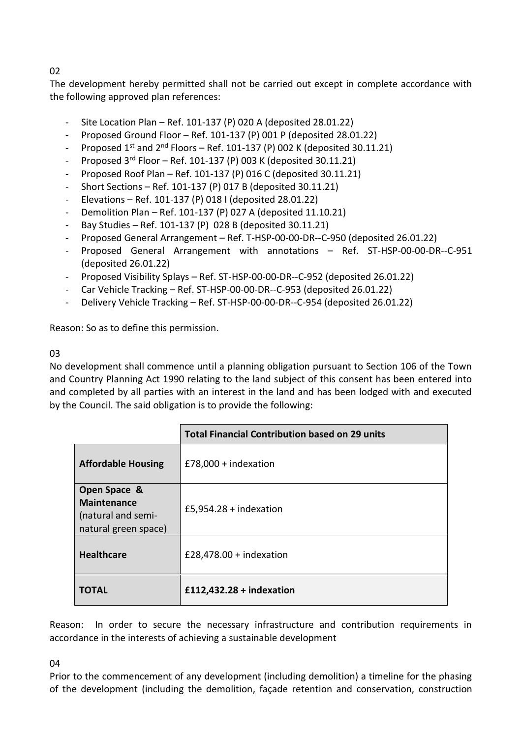# 02

The development hereby permitted shall not be carried out except in complete accordance with the following approved plan references:

- Site Location Plan Ref. 101-137 (P) 020 A (deposited 28.01.22)
- Proposed Ground Floor Ref. 101-137 (P) 001 P (deposited 28.01.22)
- Proposed  $1^{st}$  and  $2^{nd}$  Floors Ref. 101-137 (P) 002 K (deposited 30.11.21)
- Proposed  $3^{rd}$  Floor Ref. 101-137 (P) 003 K (deposited 30.11.21)
- Proposed Roof Plan Ref. 101-137 (P) 016 C (deposited 30.11.21)
- Short Sections Ref. 101-137 (P) 017 B (deposited 30.11.21)
- Elevations Ref. 101-137 (P) 018 I (deposited 28.01.22)
- Demolition Plan Ref. 101-137 (P) 027 A (deposited 11.10.21)
- Bay Studies Ref. 101-137 (P) 028 B (deposited 30.11.21)
- Proposed General Arrangement Ref. T-HSP-00-00-DR--C-950 (deposited 26.01.22)
- Proposed General Arrangement with annotations Ref. ST-HSP-00-00-DR--C-951 (deposited 26.01.22)
- Proposed Visibility Splays Ref. ST-HSP-00-00-DR--C-952 (deposited 26.01.22)
- Car Vehicle Tracking Ref. ST-HSP-00-00-DR--C-953 (deposited 26.01.22)
- Delivery Vehicle Tracking Ref. ST-HSP-00-00-DR--C-954 (deposited 26.01.22)

Reason: So as to define this permission.

## 03

No development shall commence until a planning obligation pursuant to Section 106 of the Town and Country Planning Act 1990 relating to the land subject of this consent has been entered into and completed by all parties with an interest in the land and has been lodged with and executed by the Council. The said obligation is to provide the following:

|                                                                                  | <b>Total Financial Contribution based on 29 units</b> |
|----------------------------------------------------------------------------------|-------------------------------------------------------|
| <b>Affordable Housing</b>                                                        | £78,000 + indexation                                  |
| Open Space &<br><b>Maintenance</b><br>(natural and semi-<br>natural green space) | £5,954.28 + indexation                                |
| <b>Healthcare</b>                                                                | £28,478.00 + indexation                               |
| ΤΟΤΑL                                                                            | £112,432.28 + indexation                              |

Reason: In order to secure the necessary infrastructure and contribution requirements in accordance in the interests of achieving a sustainable development

04

Prior to the commencement of any development (including demolition) a timeline for the phasing of the development (including the demolition, façade retention and conservation, construction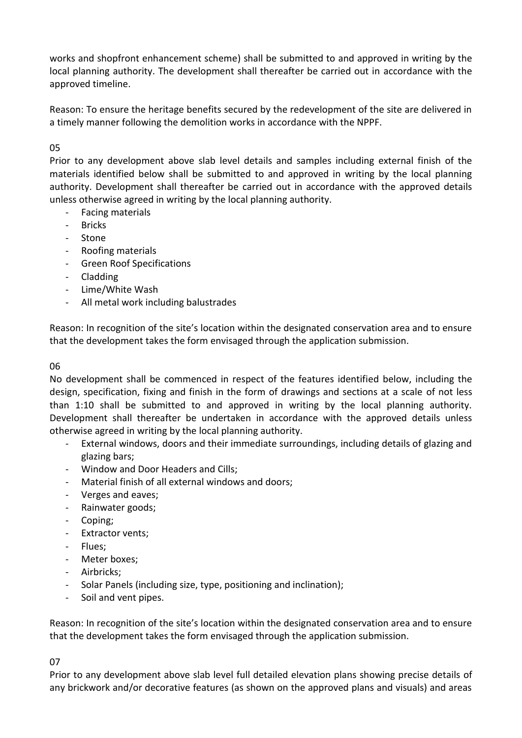works and shopfront enhancement scheme) shall be submitted to and approved in writing by the local planning authority. The development shall thereafter be carried out in accordance with the approved timeline.

Reason: To ensure the heritage benefits secured by the redevelopment of the site are delivered in a timely manner following the demolition works in accordance with the NPPF.

## 05

Prior to any development above slab level details and samples including external finish of the materials identified below shall be submitted to and approved in writing by the local planning authority. Development shall thereafter be carried out in accordance with the approved details unless otherwise agreed in writing by the local planning authority.

- Facing materials
- **Bricks**
- Stone
- Roofing materials
- Green Roof Specifications
- Cladding
- Lime/White Wash
- All metal work including balustrades

Reason: In recognition of the site's location within the designated conservation area and to ensure that the development takes the form envisaged through the application submission.

#### 06

No development shall be commenced in respect of the features identified below, including the design, specification, fixing and finish in the form of drawings and sections at a scale of not less than 1:10 shall be submitted to and approved in writing by the local planning authority. Development shall thereafter be undertaken in accordance with the approved details unless otherwise agreed in writing by the local planning authority.

- External windows, doors and their immediate surroundings, including details of glazing and glazing bars;
- Window and Door Headers and Cills;
- Material finish of all external windows and doors;
- Verges and eaves;
- Rainwater goods;
- Coping;
- Extractor vents;
- Flues;
- Meter boxes;
- Airbricks;
- Solar Panels (including size, type, positioning and inclination);
- Soil and vent pipes.

Reason: In recognition of the site's location within the designated conservation area and to ensure that the development takes the form envisaged through the application submission.

#### 07

Prior to any development above slab level full detailed elevation plans showing precise details of any brickwork and/or decorative features (as shown on the approved plans and visuals) and areas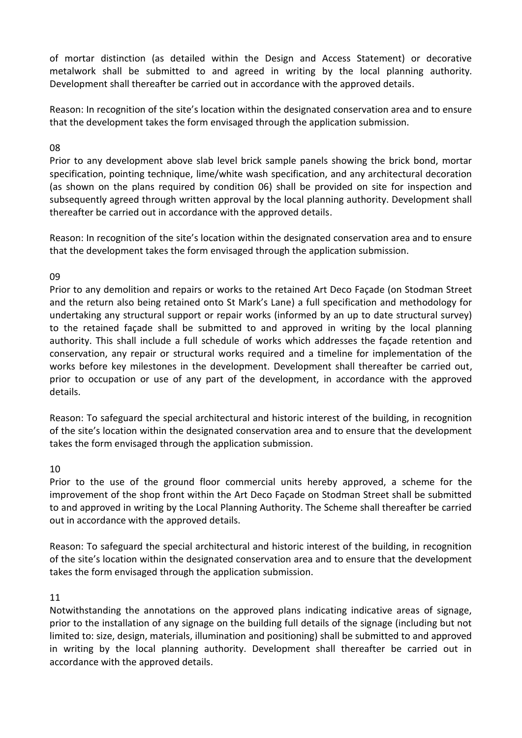of mortar distinction (as detailed within the Design and Access Statement) or decorative metalwork shall be submitted to and agreed in writing by the local planning authority. Development shall thereafter be carried out in accordance with the approved details.

Reason: In recognition of the site's location within the designated conservation area and to ensure that the development takes the form envisaged through the application submission.

#### 08

Prior to any development above slab level brick sample panels showing the brick bond, mortar specification, pointing technique, lime/white wash specification, and any architectural decoration (as shown on the plans required by condition 06) shall be provided on site for inspection and subsequently agreed through written approval by the local planning authority. Development shall thereafter be carried out in accordance with the approved details.

Reason: In recognition of the site's location within the designated conservation area and to ensure that the development takes the form envisaged through the application submission.

### 09

Prior to any demolition and repairs or works to the retained Art Deco Façade (on Stodman Street and the return also being retained onto St Mark's Lane) a full specification and methodology for undertaking any structural support or repair works (informed by an up to date structural survey) to the retained façade shall be submitted to and approved in writing by the local planning authority. This shall include a full schedule of works which addresses the façade retention and conservation, any repair or structural works required and a timeline for implementation of the works before key milestones in the development. Development shall thereafter be carried out, prior to occupation or use of any part of the development, in accordance with the approved details.

Reason: To safeguard the special architectural and historic interest of the building, in recognition of the site's location within the designated conservation area and to ensure that the development takes the form envisaged through the application submission.

#### 10

Prior to the use of the ground floor commercial units hereby approved, a scheme for the improvement of the shop front within the Art Deco Façade on Stodman Street shall be submitted to and approved in writing by the Local Planning Authority. The Scheme shall thereafter be carried out in accordance with the approved details.

Reason: To safeguard the special architectural and historic interest of the building, in recognition of the site's location within the designated conservation area and to ensure that the development takes the form envisaged through the application submission.

#### 11

Notwithstanding the annotations on the approved plans indicating indicative areas of signage, prior to the installation of any signage on the building full details of the signage (including but not limited to: size, design, materials, illumination and positioning) shall be submitted to and approved in writing by the local planning authority. Development shall thereafter be carried out in accordance with the approved details.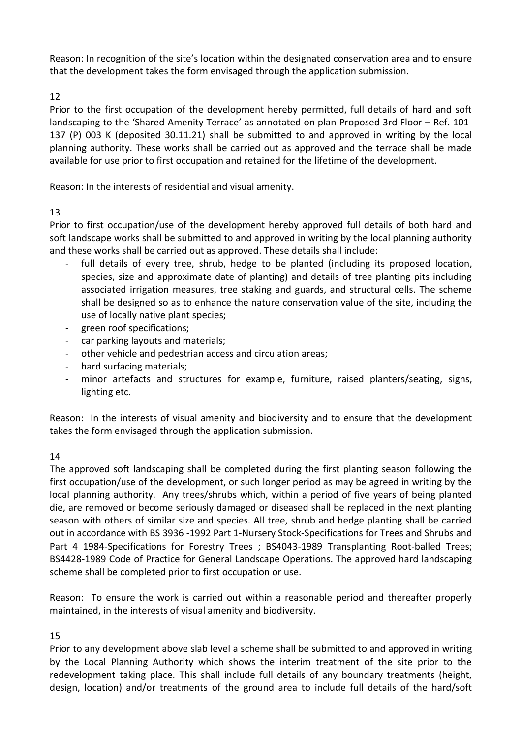Reason: In recognition of the site's location within the designated conservation area and to ensure that the development takes the form envisaged through the application submission.

## 12

Prior to the first occupation of the development hereby permitted, full details of hard and soft landscaping to the 'Shared Amenity Terrace' as annotated on plan Proposed 3rd Floor – Ref. 101- 137 (P) 003 K (deposited 30.11.21) shall be submitted to and approved in writing by the local planning authority. These works shall be carried out as approved and the terrace shall be made available for use prior to first occupation and retained for the lifetime of the development.

Reason: In the interests of residential and visual amenity.

# 13

Prior to first occupation/use of the development hereby approved full details of both hard and soft landscape works shall be submitted to and approved in writing by the local planning authority and these works shall be carried out as approved. These details shall include:

- full details of every tree, shrub, hedge to be planted (including its proposed location, species, size and approximate date of planting) and details of tree planting pits including associated irrigation measures, tree staking and guards, and structural cells. The scheme shall be designed so as to enhance the nature conservation value of the site, including the use of locally native plant species;
- green roof specifications;
- car parking layouts and materials;
- other vehicle and pedestrian access and circulation areas;
- hard surfacing materials;
- minor artefacts and structures for example, furniture, raised planters/seating, signs, lighting etc.

Reason: In the interests of visual amenity and biodiversity and to ensure that the development takes the form envisaged through the application submission.

## 14

The approved soft landscaping shall be completed during the first planting season following the first occupation/use of the development, or such longer period as may be agreed in writing by the local planning authority. Any trees/shrubs which, within a period of five years of being planted die, are removed or become seriously damaged or diseased shall be replaced in the next planting season with others of similar size and species. All tree, shrub and hedge planting shall be carried out in accordance with BS 3936 -1992 Part 1-Nursery Stock-Specifications for Trees and Shrubs and Part 4 1984-Specifications for Forestry Trees ; BS4043-1989 Transplanting Root-balled Trees; BS4428-1989 Code of Practice for General Landscape Operations. The approved hard landscaping scheme shall be completed prior to first occupation or use.

Reason: To ensure the work is carried out within a reasonable period and thereafter properly maintained, in the interests of visual amenity and biodiversity.

## 15

Prior to any development above slab level a scheme shall be submitted to and approved in writing by the Local Planning Authority which shows the interim treatment of the site prior to the redevelopment taking place. This shall include full details of any boundary treatments (height, design, location) and/or treatments of the ground area to include full details of the hard/soft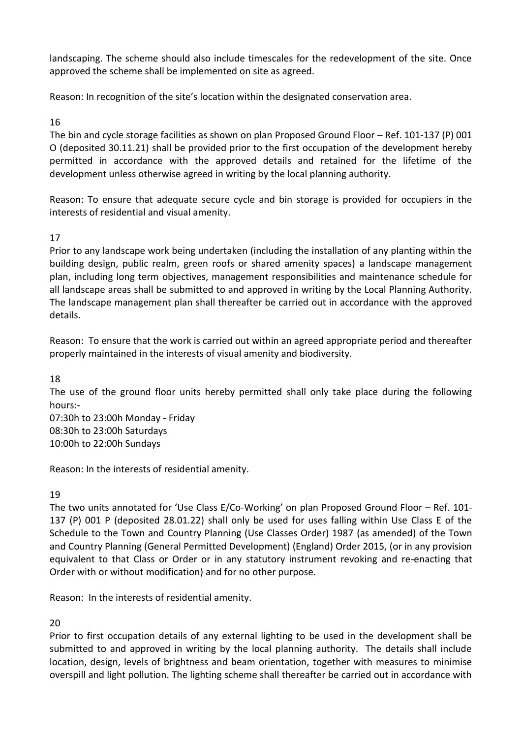landscaping. The scheme should also include timescales for the redevelopment of the site. Once approved the scheme shall be implemented on site as agreed.

Reason: In recognition of the site's location within the designated conservation area.

# 16

The bin and cycle storage facilities as shown on plan Proposed Ground Floor – Ref. 101-137 (P) 001 O (deposited 30.11.21) shall be provided prior to the first occupation of the development hereby permitted in accordance with the approved details and retained for the lifetime of the development unless otherwise agreed in writing by the local planning authority.

Reason: To ensure that adequate secure cycle and bin storage is provided for occupiers in the interests of residential and visual amenity.

# 17

Prior to any landscape work being undertaken (including the installation of any planting within the building design, public realm, green roofs or shared amenity spaces) a landscape management plan, including long term objectives, management responsibilities and maintenance schedule for all landscape areas shall be submitted to and approved in writing by the Local Planning Authority. The landscape management plan shall thereafter be carried out in accordance with the approved details.

Reason: To ensure that the work is carried out within an agreed appropriate period and thereafter properly maintained in the interests of visual amenity and biodiversity.

18

The use of the ground floor units hereby permitted shall only take place during the following hours:-

07:30h to 23:00h Monday - Friday 08:30h to 23:00h Saturdays 10:00h to 22:00h Sundays

Reason: In the interests of residential amenity.

## 19

The two units annotated for 'Use Class E/Co-Working' on plan Proposed Ground Floor – Ref. 101- 137 (P) 001 P (deposited 28.01.22) shall only be used for uses falling within Use Class E of the Schedule to the Town and Country Planning (Use Classes Order) 1987 (as amended) of the Town and Country Planning (General Permitted Development) (England) Order 2015, (or in any provision equivalent to that Class or Order or in any statutory instrument revoking and re-enacting that Order with or without modification) and for no other purpose.

Reason: In the interests of residential amenity.

# 20

Prior to first occupation details of any external lighting to be used in the development shall be submitted to and approved in writing by the local planning authority. The details shall include location, design, levels of brightness and beam orientation, together with measures to minimise overspill and light pollution. The lighting scheme shall thereafter be carried out in accordance with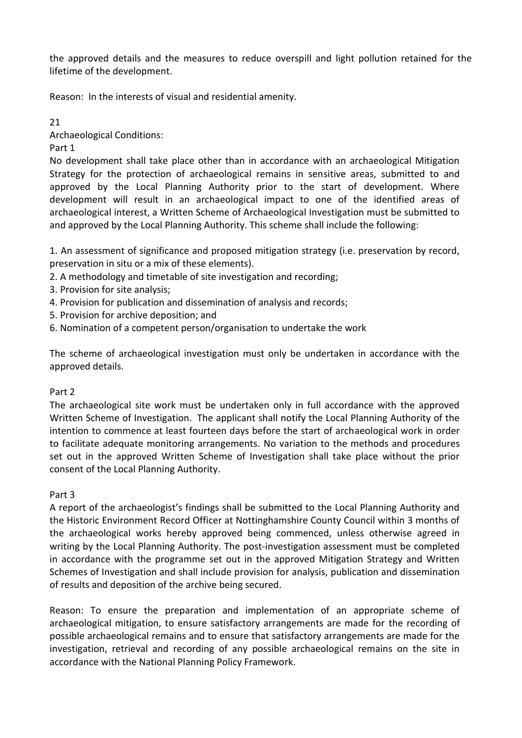the approved details and the measures to reduce overspill and light pollution retained for the lifetime of the development.

Reason: In the interests of visual and residential amenity.

21

Archaeological Conditions:

Part 1

No development shall take place other than in accordance with an archaeological Mitigation Strategy for the protection of archaeological remains in sensitive areas, submitted to and approved by the Local Planning Authority prior to the start of development. Where development will result in an archaeological impact to one of the identified areas of archaeological interest, a Written Scheme of Archaeological Investigation must be submitted to and approved by the Local Planning Authority. This scheme shall include the following:

1. An assessment of significance and proposed mitigation strategy (i.e. preservation by record, preservation in situ or a mix of these elements).

- 2. A methodology and timetable of site investigation and recording;
- 3. Provision for site analysis;
- 4. Provision for publication and dissemination of analysis and records;
- 5. Provision for archive deposition; and
- 6. Nomination of a competent person/organisation to undertake the work

The scheme of archaeological investigation must only be undertaken in accordance with the approved details.

## Part 2

The archaeological site work must be undertaken only in full accordance with the approved Written Scheme of Investigation. The applicant shall notify the Local Planning Authority of the intention to commence at least fourteen days before the start of archaeological work in order to facilitate adequate monitoring arrangements. No variation to the methods and procedures set out in the approved Written Scheme of Investigation shall take place without the prior consent of the Local Planning Authority.

## Part 3

A report of the archaeologist's findings shall be submitted to the Local Planning Authority and the Historic Environment Record Officer at Nottinghamshire County Council within 3 months of the archaeological works hereby approved being commenced, unless otherwise agreed in writing by the Local Planning Authority. The post-investigation assessment must be completed in accordance with the programme set out in the approved Mitigation Strategy and Written Schemes of Investigation and shall include provision for analysis, publication and dissemination of results and deposition of the archive being secured.

Reason: To ensure the preparation and implementation of an appropriate scheme of archaeological mitigation, to ensure satisfactory arrangements are made for the recording of possible archaeological remains and to ensure that satisfactory arrangements are made for the investigation, retrieval and recording of any possible archaeological remains on the site in accordance with the National Planning Policy Framework.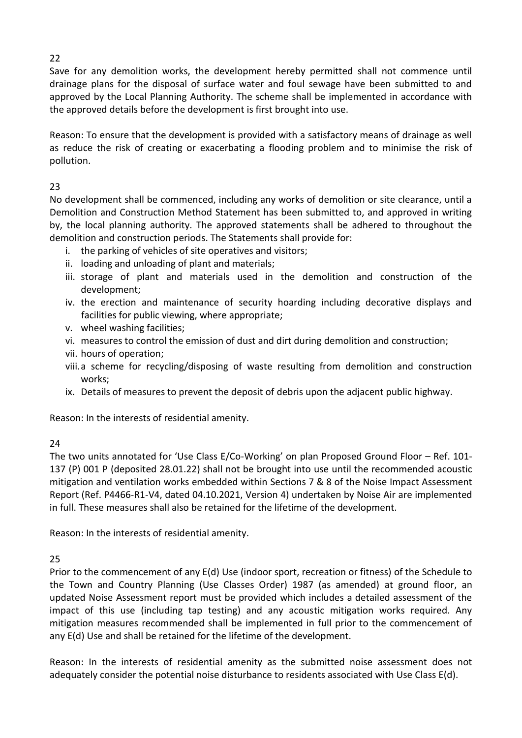Save for any demolition works, the development hereby permitted shall not commence until drainage plans for the disposal of surface water and foul sewage have been submitted to and approved by the Local Planning Authority. The scheme shall be implemented in accordance with the approved details before the development is first brought into use.

Reason: To ensure that the development is provided with a satisfactory means of drainage as well as reduce the risk of creating or exacerbating a flooding problem and to minimise the risk of pollution.

# 23

No development shall be commenced, including any works of demolition or site clearance, until a Demolition and Construction Method Statement has been submitted to, and approved in writing by, the local planning authority. The approved statements shall be adhered to throughout the demolition and construction periods. The Statements shall provide for:

- i. the parking of vehicles of site operatives and visitors;
- ii. loading and unloading of plant and materials;
- iii. storage of plant and materials used in the demolition and construction of the development;
- iv. the erection and maintenance of security hoarding including decorative displays and facilities for public viewing, where appropriate;
- v. wheel washing facilities;
- vi. measures to control the emission of dust and dirt during demolition and construction;
- vii. hours of operation;
- viii.a scheme for recycling/disposing of waste resulting from demolition and construction works;
- ix. Details of measures to prevent the deposit of debris upon the adjacent public highway.

Reason: In the interests of residential amenity.

# 24

The two units annotated for 'Use Class E/Co-Working' on plan Proposed Ground Floor – Ref. 101- 137 (P) 001 P (deposited 28.01.22) shall not be brought into use until the recommended acoustic mitigation and ventilation works embedded within Sections 7 & 8 of the Noise Impact Assessment Report (Ref. P4466-R1-V4, dated 04.10.2021, Version 4) undertaken by Noise Air are implemented in full. These measures shall also be retained for the lifetime of the development.

Reason: In the interests of residential amenity.

25

Prior to the commencement of any E(d) Use (indoor sport, recreation or fitness) of the Schedule to the Town and Country Planning (Use Classes Order) 1987 (as amended) at ground floor, an updated Noise Assessment report must be provided which includes a detailed assessment of the impact of this use (including tap testing) and any acoustic mitigation works required. Any mitigation measures recommended shall be implemented in full prior to the commencement of any E(d) Use and shall be retained for the lifetime of the development.

Reason: In the interests of residential amenity as the submitted noise assessment does not adequately consider the potential noise disturbance to residents associated with Use Class E(d).

22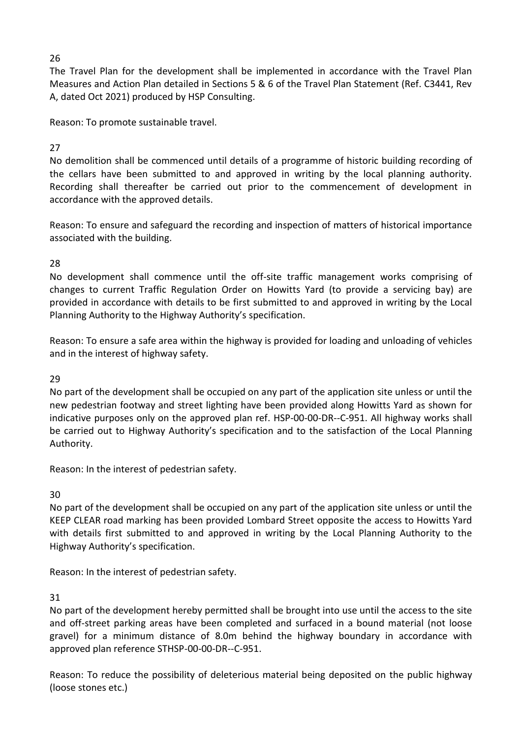26

The Travel Plan for the development shall be implemented in accordance with the Travel Plan Measures and Action Plan detailed in Sections 5 & 6 of the Travel Plan Statement (Ref. C3441, Rev A, dated Oct 2021) produced by HSP Consulting.

Reason: To promote sustainable travel.

# 27

No demolition shall be commenced until details of a programme of historic building recording of the cellars have been submitted to and approved in writing by the local planning authority. Recording shall thereafter be carried out prior to the commencement of development in accordance with the approved details.

Reason: To ensure and safeguard the recording and inspection of matters of historical importance associated with the building.

28

No development shall commence until the off-site traffic management works comprising of changes to current Traffic Regulation Order on Howitts Yard (to provide a servicing bay) are provided in accordance with details to be first submitted to and approved in writing by the Local Planning Authority to the Highway Authority's specification.

Reason: To ensure a safe area within the highway is provided for loading and unloading of vehicles and in the interest of highway safety.

## 29

No part of the development shall be occupied on any part of the application site unless or until the new pedestrian footway and street lighting have been provided along Howitts Yard as shown for indicative purposes only on the approved plan ref. HSP-00-00-DR--C-951. All highway works shall be carried out to Highway Authority's specification and to the satisfaction of the Local Planning Authority.

Reason: In the interest of pedestrian safety.

30

No part of the development shall be occupied on any part of the application site unless or until the KEEP CLEAR road marking has been provided Lombard Street opposite the access to Howitts Yard with details first submitted to and approved in writing by the Local Planning Authority to the Highway Authority's specification.

Reason: In the interest of pedestrian safety.

## 31

No part of the development hereby permitted shall be brought into use until the access to the site and off-street parking areas have been completed and surfaced in a bound material (not loose gravel) for a minimum distance of 8.0m behind the highway boundary in accordance with approved plan reference STHSP-00-00-DR--C-951.

Reason: To reduce the possibility of deleterious material being deposited on the public highway (loose stones etc.)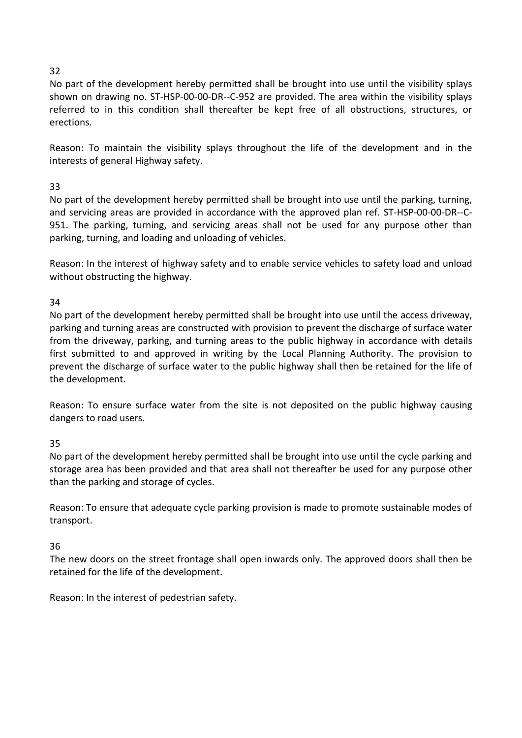# 32

No part of the development hereby permitted shall be brought into use until the visibility splays shown on drawing no. ST-HSP-00-00-DR--C-952 are provided. The area within the visibility splays referred to in this condition shall thereafter be kept free of all obstructions, structures, or erections.

Reason: To maintain the visibility splays throughout the life of the development and in the interests of general Highway safety.

# 33

No part of the development hereby permitted shall be brought into use until the parking, turning, and servicing areas are provided in accordance with the approved plan ref. ST-HSP-00-00-DR--C-951. The parking, turning, and servicing areas shall not be used for any purpose other than parking, turning, and loading and unloading of vehicles.

Reason: In the interest of highway safety and to enable service vehicles to safety load and unload without obstructing the highway.

34

No part of the development hereby permitted shall be brought into use until the access driveway, parking and turning areas are constructed with provision to prevent the discharge of surface water from the driveway, parking, and turning areas to the public highway in accordance with details first submitted to and approved in writing by the Local Planning Authority. The provision to prevent the discharge of surface water to the public highway shall then be retained for the life of the development.

Reason: To ensure surface water from the site is not deposited on the public highway causing dangers to road users.

35

No part of the development hereby permitted shall be brought into use until the cycle parking and storage area has been provided and that area shall not thereafter be used for any purpose other than the parking and storage of cycles.

Reason: To ensure that adequate cycle parking provision is made to promote sustainable modes of transport.

## 36

The new doors on the street frontage shall open inwards only. The approved doors shall then be retained for the life of the development.

Reason: In the interest of pedestrian safety.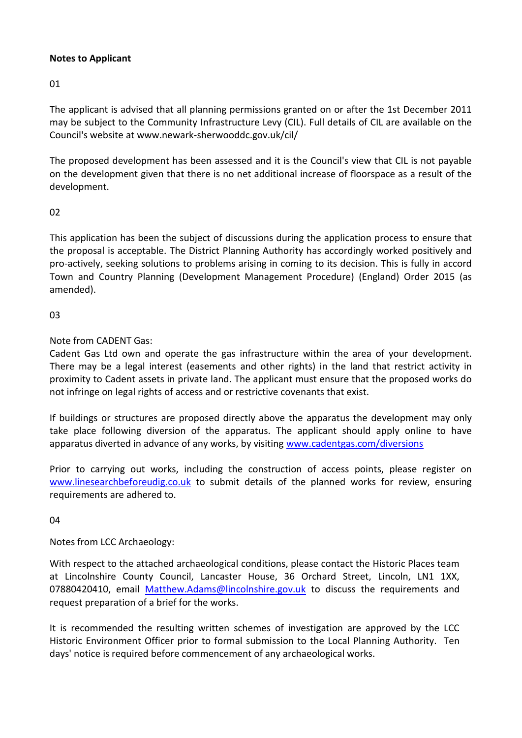## **Notes to Applicant**

01

The applicant is advised that all planning permissions granted on or after the 1st December 2011 may be subject to the Community Infrastructure Levy (CIL). Full details of CIL are available on the Council's website at www.newark-sherwooddc.gov.uk/cil/

The proposed development has been assessed and it is the Council's view that CIL is not payable on the development given that there is no net additional increase of floorspace as a result of the development.

## 02

This application has been the subject of discussions during the application process to ensure that the proposal is acceptable. The District Planning Authority has accordingly worked positively and pro-actively, seeking solutions to problems arising in coming to its decision. This is fully in accord Town and Country Planning (Development Management Procedure) (England) Order 2015 (as amended).

## 03

Note from CADENT Gas:

Cadent Gas Ltd own and operate the gas infrastructure within the area of your development. There may be a legal interest (easements and other rights) in the land that restrict activity in proximity to Cadent assets in private land. The applicant must ensure that the proposed works do not infringe on legal rights of access and or restrictive covenants that exist.

If buildings or structures are proposed directly above the apparatus the development may only take place following diversion of the apparatus. The applicant should apply online to have apparatus diverted in advance of any works, by visiting [www.cadentgas.com/diversions](http://www.cadentgas.com/diversions)

Prior to carrying out works, including the construction of access points, please register on [www.linesearchbeforeudig.co.uk](http://www.linesearchbeforeudig.co.uk/) to submit details of the planned works for review, ensuring requirements are adhered to.

04

Notes from LCC Archaeology:

With respect to the attached archaeological conditions, please contact the Historic Places team at Lincolnshire County Council, Lancaster House, 36 Orchard Street, Lincoln, LN1 1XX, 07880420410, email [Matthew.Adams@lincolnshire.gov.uk](mailto:Matthew.Adams@lincolnshire.gov.uk) to discuss the requirements and request preparation of a brief for the works.

It is recommended the resulting written schemes of investigation are approved by the LCC Historic Environment Officer prior to formal submission to the Local Planning Authority. Ten days' notice is required before commencement of any archaeological works.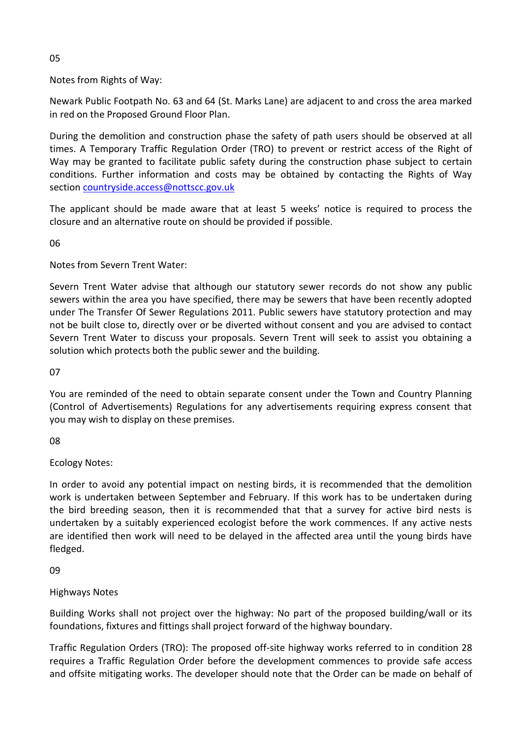05

Notes from Rights of Way:

Newark Public Footpath No. 63 and 64 (St. Marks Lane) are adjacent to and cross the area marked in red on the Proposed Ground Floor Plan.

During the demolition and construction phase the safety of path users should be observed at all times. A Temporary Traffic Regulation Order (TRO) to prevent or restrict access of the Right of Way may be granted to facilitate public safety during the construction phase subject to certain conditions. Further information and costs may be obtained by contacting the Rights of Way section [countryside.access@nottscc.gov.uk](mailto:countryside.access@nottscc.gov.uk)

The applicant should be made aware that at least 5 weeks' notice is required to process the closure and an alternative route on should be provided if possible.

06

Notes from Severn Trent Water:

Severn Trent Water advise that although our statutory sewer records do not show any public sewers within the area you have specified, there may be sewers that have been recently adopted under The Transfer Of Sewer Regulations 2011. Public sewers have statutory protection and may not be built close to, directly over or be diverted without consent and you are advised to contact Severn Trent Water to discuss your proposals. Severn Trent will seek to assist you obtaining a solution which protects both the public sewer and the building.

07

You are reminded of the need to obtain separate consent under the Town and Country Planning (Control of Advertisements) Regulations for any advertisements requiring express consent that you may wish to display on these premises.

08

Ecology Notes:

In order to avoid any potential impact on nesting birds, it is recommended that the demolition work is undertaken between September and February. If this work has to be undertaken during the bird breeding season, then it is recommended that that a survey for active bird nests is undertaken by a suitably experienced ecologist before the work commences. If any active nests are identified then work will need to be delayed in the affected area until the young birds have fledged.

09

Highways Notes

Building Works shall not project over the highway: No part of the proposed building/wall or its foundations, fixtures and fittings shall project forward of the highway boundary.

Traffic Regulation Orders (TRO): The proposed off-site highway works referred to in condition 28 requires a Traffic Regulation Order before the development commences to provide safe access and offsite mitigating works. The developer should note that the Order can be made on behalf of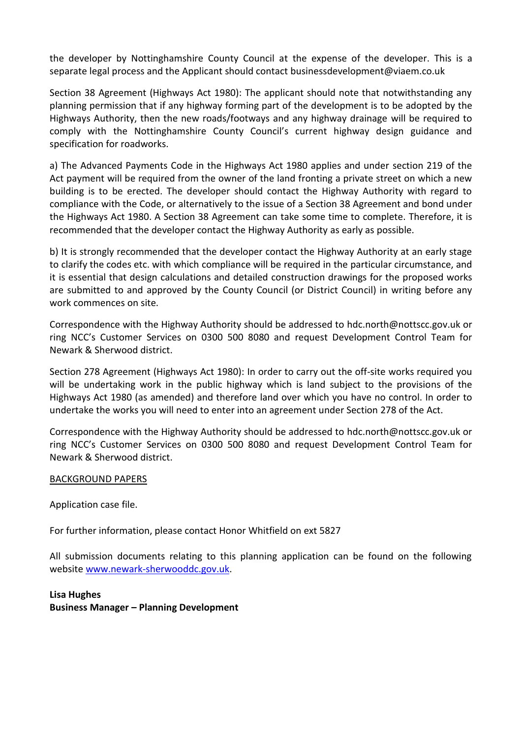the developer by Nottinghamshire County Council at the expense of the developer. This is a separate legal process and the Applicant should contact businessdevelopment@viaem.co.uk

Section 38 Agreement (Highways Act 1980): The applicant should note that notwithstanding any planning permission that if any highway forming part of the development is to be adopted by the Highways Authority, then the new roads/footways and any highway drainage will be required to comply with the Nottinghamshire County Council's current highway design guidance and specification for roadworks.

a) The Advanced Payments Code in the Highways Act 1980 applies and under section 219 of the Act payment will be required from the owner of the land fronting a private street on which a new building is to be erected. The developer should contact the Highway Authority with regard to compliance with the Code, or alternatively to the issue of a Section 38 Agreement and bond under the Highways Act 1980. A Section 38 Agreement can take some time to complete. Therefore, it is recommended that the developer contact the Highway Authority as early as possible.

b) It is strongly recommended that the developer contact the Highway Authority at an early stage to clarify the codes etc. with which compliance will be required in the particular circumstance, and it is essential that design calculations and detailed construction drawings for the proposed works are submitted to and approved by the County Council (or District Council) in writing before any work commences on site.

Correspondence with the Highway Authority should be addressed to hdc.north@nottscc.gov.uk or ring NCC's Customer Services on 0300 500 8080 and request Development Control Team for Newark & Sherwood district.

Section 278 Agreement (Highways Act 1980): In order to carry out the off-site works required you will be undertaking work in the public highway which is land subject to the provisions of the Highways Act 1980 (as amended) and therefore land over which you have no control. In order to undertake the works you will need to enter into an agreement under Section 278 of the Act.

Correspondence with the Highway Authority should be addressed to hdc.north@nottscc.gov.uk or ring NCC's Customer Services on 0300 500 8080 and request Development Control Team for Newark & Sherwood district.

#### BACKGROUND PAPERS

Application case file.

For further information, please contact Honor Whitfield on ext 5827

All submission documents relating to this planning application can be found on the following websit[e www.newark-sherwooddc.gov.uk.](http://www.newark-sherwooddc.gov.uk/)

**Lisa Hughes Business Manager – Planning Development**